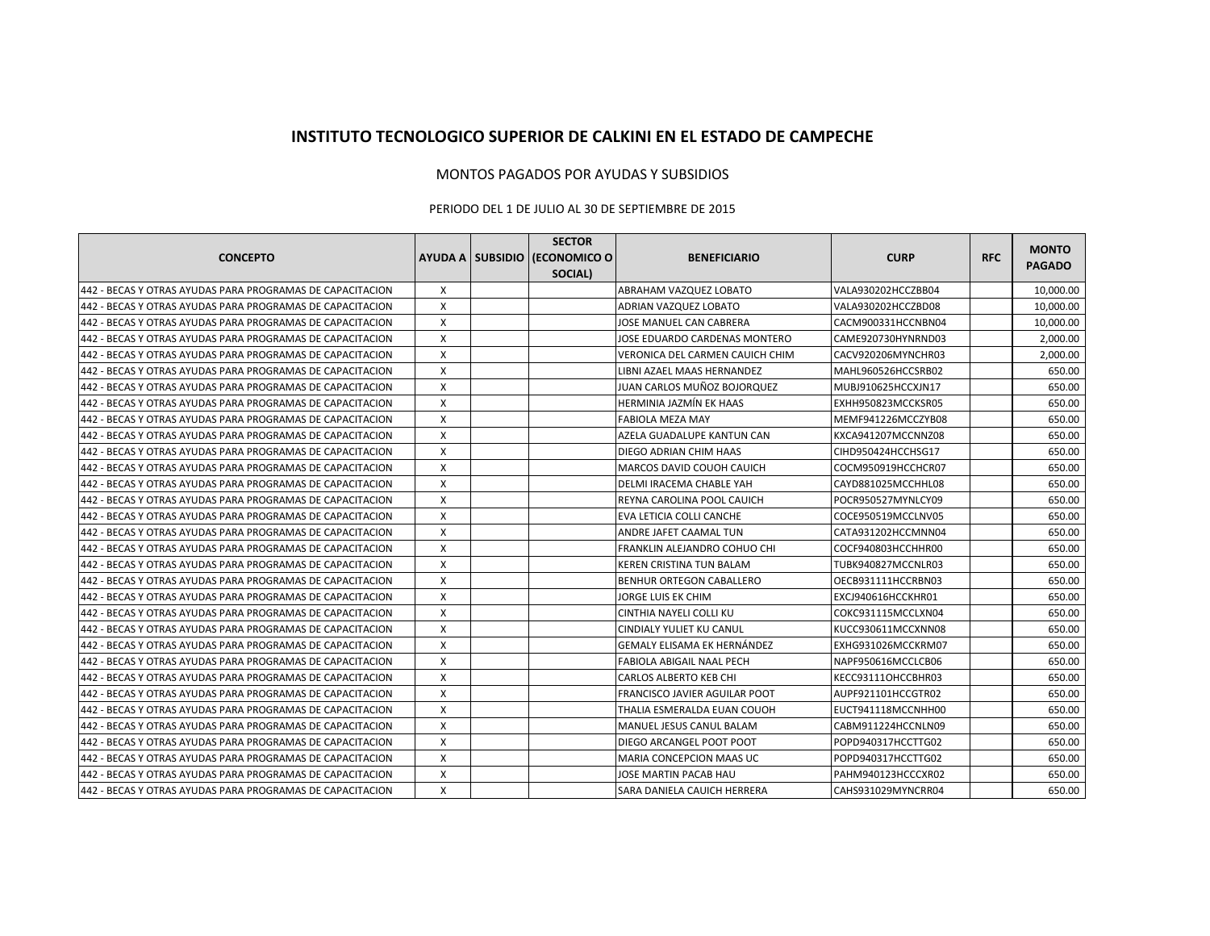## **INSTITUTO TECNOLOGICO SUPERIOR DE CALKINI EN EL ESTADO DE CAMPECHE**

## MONTOS PAGADOS POR AYUDAS Y SUBSIDIOS

## PERIODO DEL 1 DE JULIO AL 30 DE SEPTIEMBRE DE 2015

| <b>CONCEPTO</b>                                           |   | <b>SECTOR</b><br>AYUDA A SUBSIDIO (ECONOMICO O | <b>BENEFICIARIO</b>                  | <b>CURP</b>        | <b>RFC</b> | <b>MONTO</b>  |
|-----------------------------------------------------------|---|------------------------------------------------|--------------------------------------|--------------------|------------|---------------|
|                                                           |   | SOCIAL)                                        |                                      |                    |            | <b>PAGADO</b> |
| 442 - BECAS Y OTRAS AYUDAS PARA PROGRAMAS DE CAPACITACION | X |                                                | ABRAHAM VAZQUEZ LOBATO               | VALA930202HCCZBB04 |            | 10,000.00     |
| 442 - BECAS Y OTRAS AYUDAS PARA PROGRAMAS DE CAPACITACION | X |                                                | ADRIAN VAZQUEZ LOBATO                | VALA930202HCCZBD08 |            | 10,000.00     |
| 442 - BECAS Y OTRAS AYUDAS PARA PROGRAMAS DE CAPACITACION | X |                                                | JOSE MANUEL CAN CABRERA              | CACM900331HCCNBN04 |            | 10,000.00     |
| 442 - BECAS Y OTRAS AYUDAS PARA PROGRAMAS DE CAPACITACION | X |                                                | JOSE EDUARDO CARDENAS MONTERO        | CAME920730HYNRND03 |            | 2,000.00      |
| 442 - BECAS Y OTRAS AYUDAS PARA PROGRAMAS DE CAPACITACION | X |                                                | VERONICA DEL CARMEN CAUICH CHIM      | CACV920206MYNCHR03 |            | 2,000.00      |
| 442 - BECAS Y OTRAS AYUDAS PARA PROGRAMAS DE CAPACITACION | X |                                                | LIBNI AZAEL MAAS HERNANDEZ           | MAHL960526HCCSRB02 |            | 650.00        |
| 442 - BECAS Y OTRAS AYUDAS PARA PROGRAMAS DE CAPACITACION | X |                                                | JUAN CARLOS MUÑOZ BOJORQUEZ          | MUBJ910625HCCXJN17 |            | 650.00        |
| 442 - BECAS Y OTRAS AYUDAS PARA PROGRAMAS DE CAPACITACION | X |                                                | HERMINIA JAZMÍN EK HAAS              | EXHH950823MCCKSR05 |            | 650.00        |
| 442 - BECAS Y OTRAS AYUDAS PARA PROGRAMAS DE CAPACITACION | X |                                                | <b>FABIOLA MEZA MAY</b>              | MEMF941226MCCZYB08 |            | 650.00        |
| 442 - BECAS Y OTRAS AYUDAS PARA PROGRAMAS DE CAPACITACION | X |                                                | AZELA GUADALUPE KANTUN CAN           | KXCA941207MCCNNZ08 |            | 650.00        |
| 442 - BECAS Y OTRAS AYUDAS PARA PROGRAMAS DE CAPACITACION | X |                                                | <b>DIEGO ADRIAN CHIM HAAS</b>        | CIHD950424HCCHSG17 |            | 650.00        |
| 442 - BECAS Y OTRAS AYUDAS PARA PROGRAMAS DE CAPACITACION | X |                                                | <b>MARCOS DAVID COUOH CAUICH</b>     | COCM950919HCCHCR07 |            | 650.00        |
| 442 - BECAS Y OTRAS AYUDAS PARA PROGRAMAS DE CAPACITACION | X |                                                | IDELMI IRACEMA CHABLE YAH            | CAYD881025MCCHHL08 |            | 650.00        |
| 442 - BECAS Y OTRAS AYUDAS PARA PROGRAMAS DE CAPACITACION | X |                                                | IREYNA CAROLINA POOL CAUICH          | POCR950527MYNLCY09 |            | 650.00        |
| 442 - BECAS Y OTRAS AYUDAS PARA PROGRAMAS DE CAPACITACION | X |                                                | EVA LETICIA COLLI CANCHE             | COCE950519MCCLNV05 |            | 650.00        |
| 442 - BECAS Y OTRAS AYUDAS PARA PROGRAMAS DE CAPACITACION | X |                                                | ANDRE JAFET CAAMAL TUN               | CATA931202HCCMNN04 |            | 650.00        |
| 442 - BECAS Y OTRAS AYUDAS PARA PROGRAMAS DE CAPACITACION | X |                                                | FRANKLIN ALEJANDRO COHUO CHI         | COCF940803HCCHHR00 |            | 650.00        |
| 442 - BECAS Y OTRAS AYUDAS PARA PROGRAMAS DE CAPACITACION | X |                                                | KEREN CRISTINA TUN BALAM             | TUBK940827MCCNLR03 |            | 650.00        |
| 442 - BECAS Y OTRAS AYUDAS PARA PROGRAMAS DE CAPACITACION | X |                                                | <b>BENHUR ORTEGON CABALLERO</b>      | OECB931111HCCRBN03 |            | 650.00        |
| 442 - BECAS Y OTRAS AYUDAS PARA PROGRAMAS DE CAPACITACION | X |                                                | JORGE LUIS EK CHIM                   | EXCJ940616HCCKHR01 |            | 650.00        |
| 442 - BECAS Y OTRAS AYUDAS PARA PROGRAMAS DE CAPACITACION | X |                                                | <b>CINTHIA NAYELI COLLI KU</b>       | COKC931115MCCLXN04 |            | 650.00        |
| 442 - BECAS Y OTRAS AYUDAS PARA PROGRAMAS DE CAPACITACION | X |                                                | CINDIALY YULIET KU CANUL             | KUCC930611MCCXNN08 |            | 650.00        |
| 442 - BECAS Y OTRAS AYUDAS PARA PROGRAMAS DE CAPACITACION | X |                                                | GEMALY ELISAMA EK HERNÁNDEZ          | EXHG931026MCCKRM07 |            | 650.00        |
| 442 - BECAS Y OTRAS AYUDAS PARA PROGRAMAS DE CAPACITACION | X |                                                | FABIOLA ABIGAIL NAAL PECH            | NAPF950616MCCLCB06 |            | 650.00        |
| 442 - BECAS Y OTRAS AYUDAS PARA PROGRAMAS DE CAPACITACION | X |                                                | <b>CARLOS ALBERTO KEB CHI</b>        | KECC93111OHCCBHR03 |            | 650.00        |
| 442 - BECAS Y OTRAS AYUDAS PARA PROGRAMAS DE CAPACITACION | X |                                                | <b>FRANCISCO JAVIER AGUILAR POOT</b> | AUPF921101HCCGTR02 |            | 650.00        |
| 442 - BECAS Y OTRAS AYUDAS PARA PROGRAMAS DE CAPACITACION | X |                                                | THALIA ESMERALDA EUAN COUOH          | EUCT941118MCCNHH00 |            | 650.00        |
| 442 - BECAS Y OTRAS AYUDAS PARA PROGRAMAS DE CAPACITACION | X |                                                | <b>MANUEL JESUS CANUL BALAM</b>      | CABM911224HCCNLN09 |            | 650.00        |
| 442 - BECAS Y OTRAS AYUDAS PARA PROGRAMAS DE CAPACITACION | X |                                                | DIEGO ARCANGEL POOT POOT             | POPD940317HCCTTG02 |            | 650.00        |
| 442 - BECAS Y OTRAS AYUDAS PARA PROGRAMAS DE CAPACITACION | X |                                                | <b>MARIA CONCEPCION MAAS UC</b>      | POPD940317HCCTTG02 |            | 650.00        |
| 442 - BECAS Y OTRAS AYUDAS PARA PROGRAMAS DE CAPACITACION | X |                                                | JOSE MARTIN PACAB HAU                | PAHM940123HCCCXR02 |            | 650.00        |
| 442 - BECAS Y OTRAS AYUDAS PARA PROGRAMAS DE CAPACITACION | X |                                                | ISARA DANIELA CAUICH HERRERA         | CAHS931029MYNCRR04 |            | 650.00        |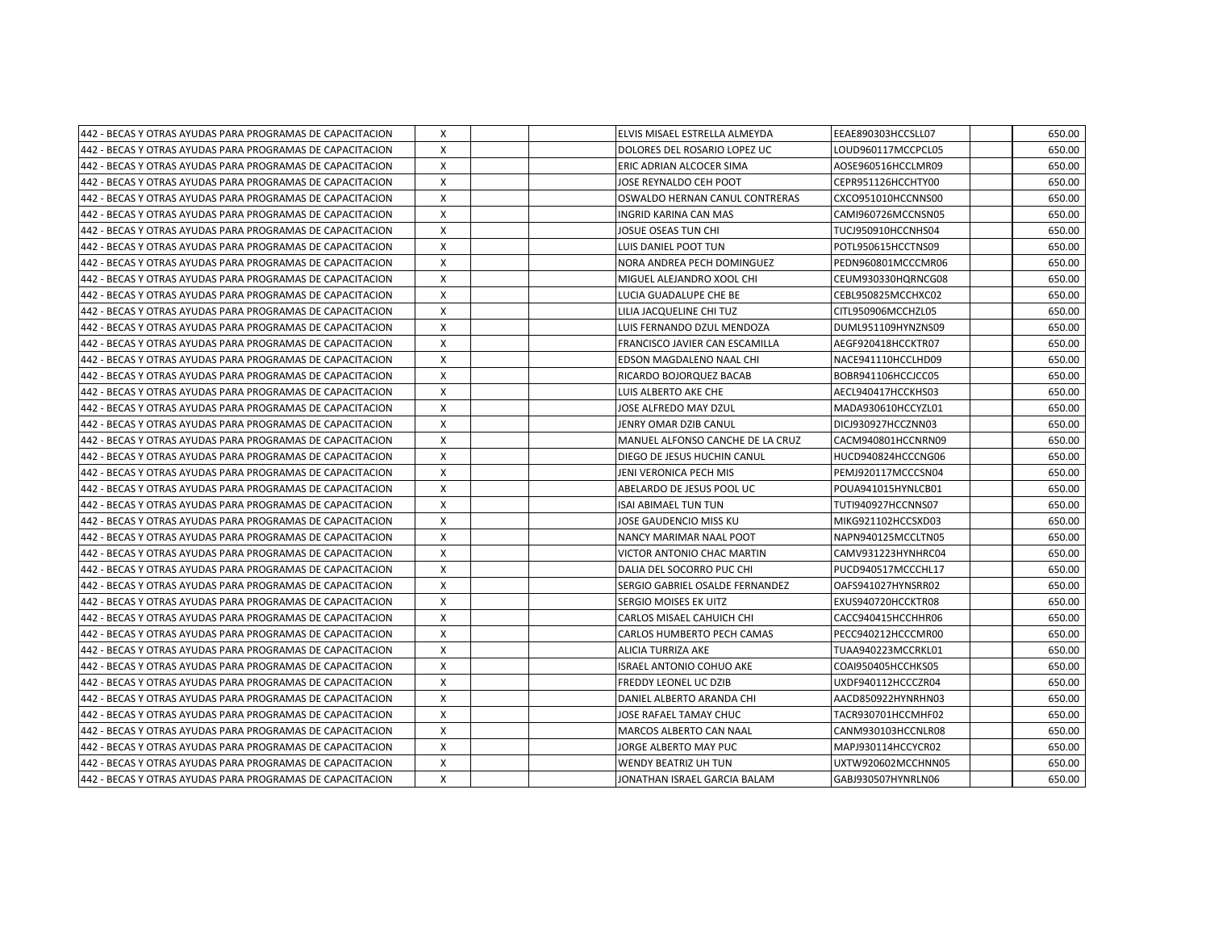| 442 - BECAS Y OTRAS AYUDAS PARA PROGRAMAS DE CAPACITACION | X        | ELVIS MISAEL ESTRELLA ALMEYDA    | EEAE890303HCCSLL07 | 650.00 |
|-----------------------------------------------------------|----------|----------------------------------|--------------------|--------|
| 442 - BECAS Y OTRAS AYUDAS PARA PROGRAMAS DE CAPACITACION | X        | DOLORES DEL ROSARIO LOPEZ UC     | LOUD960117MCCPCL05 | 650.00 |
| 442 - BECAS Y OTRAS AYUDAS PARA PROGRAMAS DE CAPACITACION | X        | ERIC ADRIAN ALCOCER SIMA         | AOSE960516HCCLMR09 | 650.00 |
| 442 - BECAS Y OTRAS AYUDAS PARA PROGRAMAS DE CAPACITACION | X        | JOSE REYNALDO CEH POOT           | CEPR951126HCCHTY00 | 650.00 |
| 442 - BECAS Y OTRAS AYUDAS PARA PROGRAMAS DE CAPACITACION | X        | OSWALDO HERNAN CANUL CONTRERAS   | CXCO951010HCCNNS00 | 650.00 |
| 442 - BECAS Y OTRAS AYUDAS PARA PROGRAMAS DE CAPACITACION | X        | INGRID KARINA CAN MAS            | CAMI960726MCCNSN05 | 650.00 |
| 442 - BECAS Y OTRAS AYUDAS PARA PROGRAMAS DE CAPACITACION | X        | JOSUE OSEAS TUN CHI              | TUCJ950910HCCNHS04 | 650.00 |
| 442 - BECAS Y OTRAS AYUDAS PARA PROGRAMAS DE CAPACITACION | X        | LUIS DANIEL POOT TUN             | POTL950615HCCTNS09 | 650.00 |
| 442 - BECAS Y OTRAS AYUDAS PARA PROGRAMAS DE CAPACITACION | $\times$ | NORA ANDREA PECH DOMINGUEZ       | PEDN960801MCCCMR06 | 650.00 |
| 442 - BECAS Y OTRAS AYUDAS PARA PROGRAMAS DE CAPACITACION | X        | MIGUEL ALEJANDRO XOOL CHI        | CEUM930330HQRNCG08 | 650.00 |
| 442 - BECAS Y OTRAS AYUDAS PARA PROGRAMAS DE CAPACITACION | X        | LUCIA GUADALUPE CHE BE           | CEBL950825MCCHXC02 | 650.00 |
| 442 - BECAS Y OTRAS AYUDAS PARA PROGRAMAS DE CAPACITACION | X        | LILIA JACQUELINE CHI TUZ         | CITL950906MCCHZL05 | 650.00 |
| 442 - BECAS Y OTRAS AYUDAS PARA PROGRAMAS DE CAPACITACION | X        | LUIS FERNANDO DZUL MENDOZA       | DUML951109HYNZNS09 | 650.00 |
| 442 - BECAS Y OTRAS AYUDAS PARA PROGRAMAS DE CAPACITACION | X        | FRANCISCO JAVIER CAN ESCAMILLA   | AEGF920418HCCKTR07 | 650.00 |
| 442 - BECAS Y OTRAS AYUDAS PARA PROGRAMAS DE CAPACITACION | X        | EDSON MAGDALENO NAAL CHI         | NACE941110HCCLHD09 | 650.00 |
| 442 - BECAS Y OTRAS AYUDAS PARA PROGRAMAS DE CAPACITACION | X        | RICARDO BOJORQUEZ BACAB          | BOBR941106HCCJCC05 | 650.00 |
| 442 - BECAS Y OTRAS AYUDAS PARA PROGRAMAS DE CAPACITACION | X        | LUIS ALBERTO AKE CHE             | AECL940417HCCKHS03 | 650.00 |
| 442 - BECAS Y OTRAS AYUDAS PARA PROGRAMAS DE CAPACITACION | X        | JOSE ALFREDO MAY DZUL            | MADA930610HCCYZL01 | 650.00 |
| 442 - BECAS Y OTRAS AYUDAS PARA PROGRAMAS DE CAPACITACION | X        | JENRY OMAR DZIB CANUL            | DICJ930927HCCZNN03 | 650.00 |
| 442 - BECAS Y OTRAS AYUDAS PARA PROGRAMAS DE CAPACITACION | X        | MANUEL ALFONSO CANCHE DE LA CRUZ | CACM940801HCCNRN09 | 650.00 |
| 442 - BECAS Y OTRAS AYUDAS PARA PROGRAMAS DE CAPACITACION | X        | DIEGO DE JESUS HUCHIN CANUL      | HUCD940824HCCCNG06 | 650.00 |
| 442 - BECAS Y OTRAS AYUDAS PARA PROGRAMAS DE CAPACITACION | X        | JENI VERONICA PECH MIS           | PEMJ920117MCCCSN04 | 650.00 |
| 442 - BECAS Y OTRAS AYUDAS PARA PROGRAMAS DE CAPACITACION | X        | ABELARDO DE JESUS POOL UC        | POUA941015HYNLCB01 | 650.00 |
| 442 - BECAS Y OTRAS AYUDAS PARA PROGRAMAS DE CAPACITACION | X        | <b>ISAI ABIMAEL TUN TUN</b>      | TUTI940927HCCNNS07 | 650.00 |
| 442 - BECAS Y OTRAS AYUDAS PARA PROGRAMAS DE CAPACITACION | X        | JOSE GAUDENCIO MISS KU           | MIKG921102HCCSXD03 | 650.00 |
| 442 - BECAS Y OTRAS AYUDAS PARA PROGRAMAS DE CAPACITACION | X        | NANCY MARIMAR NAAL POOT          | NAPN940125MCCLTN05 | 650.00 |
| 442 - BECAS Y OTRAS AYUDAS PARA PROGRAMAS DE CAPACITACION | X        | VICTOR ANTONIO CHAC MARTIN       | CAMV931223HYNHRC04 | 650.00 |
| 442 - BECAS Y OTRAS AYUDAS PARA PROGRAMAS DE CAPACITACION | X        | DALIA DEL SOCORRO PUC CHI        | PUCD940517MCCCHL17 | 650.00 |
| 442 - BECAS Y OTRAS AYUDAS PARA PROGRAMAS DE CAPACITACION | X        | SERGIO GABRIEL OSALDE FERNANDEZ  | OAFS941027HYNSRR02 | 650.00 |
| 442 - BECAS Y OTRAS AYUDAS PARA PROGRAMAS DE CAPACITACION | X        | SERGIO MOISES EK UITZ            | EXUS940720HCCKTR08 | 650.00 |
| 442 - BECAS Y OTRAS AYUDAS PARA PROGRAMAS DE CAPACITACION | X        | CARLOS MISAEL CAHUICH CHI        | CACC940415HCCHHR06 | 650.00 |
| 442 - BECAS Y OTRAS AYUDAS PARA PROGRAMAS DE CAPACITACION | X        | CARLOS HUMBERTO PECH CAMAS       | PECC940212HCCCMR00 | 650.00 |
| 442 - BECAS Y OTRAS AYUDAS PARA PROGRAMAS DE CAPACITACION | X        | ALICIA TURRIZA AKE               | TUAA940223MCCRKL01 | 650.00 |
| 442 - BECAS Y OTRAS AYUDAS PARA PROGRAMAS DE CAPACITACION | X        | <b>ISRAEL ANTONIO COHUO AKE</b>  | COAI950405HCCHKS05 | 650.00 |
| 442 - BECAS Y OTRAS AYUDAS PARA PROGRAMAS DE CAPACITACION | X        | FREDDY LEONEL UC DZIB            | UXDF940112HCCCZR04 | 650.00 |
| 442 - BECAS Y OTRAS AYUDAS PARA PROGRAMAS DE CAPACITACION | X        | DANIEL ALBERTO ARANDA CHI        | AACD850922HYNRHN03 | 650.00 |
| 442 - BECAS Y OTRAS AYUDAS PARA PROGRAMAS DE CAPACITACION | X        | JOSE RAFAEL TAMAY CHUC           | TACR930701HCCMHF02 | 650.00 |
| 442 - BECAS Y OTRAS AYUDAS PARA PROGRAMAS DE CAPACITACION | X        | MARCOS ALBERTO CAN NAAL          | CANM930103HCCNLR08 | 650.00 |
| 442 - BECAS Y OTRAS AYUDAS PARA PROGRAMAS DE CAPACITACION | X        | JORGE ALBERTO MAY PUC            | MAPJ930114HCCYCR02 | 650.00 |
| 442 - BECAS Y OTRAS AYUDAS PARA PROGRAMAS DE CAPACITACION | X        | WENDY BEATRIZ UH TUN             | UXTW920602MCCHNN05 | 650.00 |
| 442 - BECAS Y OTRAS AYUDAS PARA PROGRAMAS DE CAPACITACION | X        | JONATHAN ISRAEL GARCIA BALAM     | GABJ930507HYNRLN06 | 650.00 |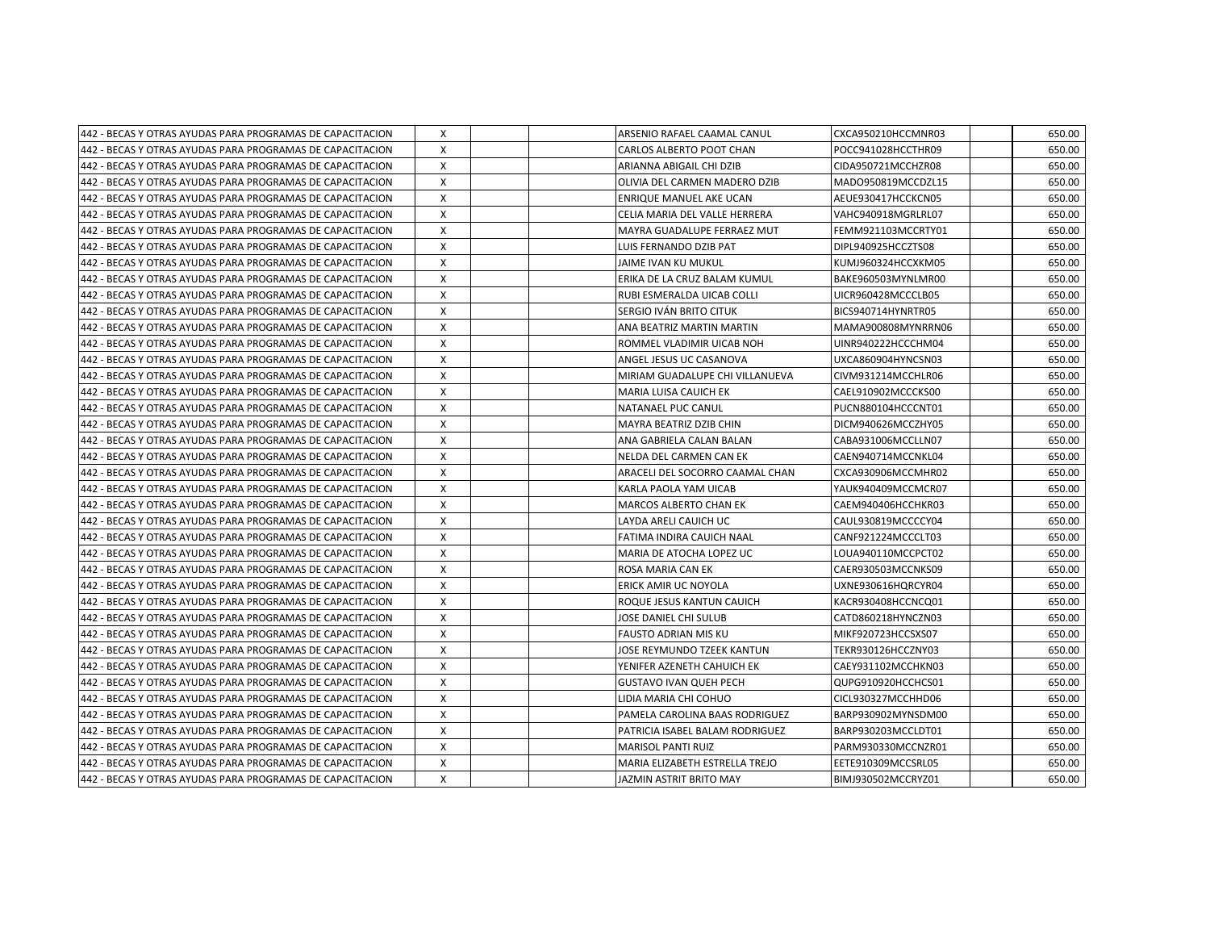| 442 - BECAS Y OTRAS AYUDAS PARA PROGRAMAS DE CAPACITACION  | X                         |  | ARSENIO RAFAEL CAAMAL CANUL     | CXCA950210HCCMNR03 | 650.00 |
|------------------------------------------------------------|---------------------------|--|---------------------------------|--------------------|--------|
| 442 - BECAS Y OTRAS AYUDAS PARA PROGRAMAS DE CAPACITACION  | X                         |  | CARLOS ALBERTO POOT CHAN        | POCC941028HCCTHR09 | 650.00 |
| 442 - BECAS Y OTRAS AYUDAS PARA PROGRAMAS DE CAPACITACION  | X                         |  | ARIANNA ABIGAIL CHI DZIB        | CIDA950721MCCHZR08 | 650.00 |
| 442 - BECAS Y OTRAS AYUDAS PARA PROGRAMAS DE CAPACITACION  | X                         |  | OLIVIA DEL CARMEN MADERO DZIB   | MADO950819MCCDZL15 | 650.00 |
| 442 - BECAS Y OTRAS AYUDAS PARA PROGRAMAS DE CAPACITACION  | X                         |  | ENRIQUE MANUEL AKE UCAN         | AEUE930417HCCKCN05 | 650.00 |
| 442 - BECAS Y OTRAS AYUDAS PARA PROGRAMAS DE CAPACITACION  | X                         |  | CELIA MARIA DEL VALLE HERRERA   | VAHC940918MGRLRL07 | 650.00 |
| 442 - BECAS Y OTRAS AYUDAS PARA PROGRAMAS DE CAPACITACION  | x                         |  | MAYRA GUADALUPE FERRAEZ MUT     | FEMM921103MCCRTY01 | 650.00 |
| 442 - BECAS Y OTRAS AYUDAS PARA PROGRAMAS DE CAPACITACION  | X                         |  | LUIS FERNANDO DZIB PAT          | DIPL940925HCCZTS08 | 650.00 |
| 442 - BECAS Y OTRAS AYUDAS PARA PROGRAMAS DE CAPACITACION  | X                         |  | JAIME IVAN KU MUKUL             | KUMJ960324HCCXKM05 | 650.00 |
| 442 - BECAS Y OTRAS AYUDAS PARA PROGRAMAS DE CAPACITACION  | x                         |  | ERIKA DE LA CRUZ BALAM KUMUL    | BAKE960503MYNLMR00 | 650.00 |
| 442 - BECAS Y OTRAS AYUDAS PARA PROGRAMAS DE CAPACITACION  | Χ                         |  | RUBI ESMERALDA UICAB COLLI      | UICR960428MCCCLB05 | 650.00 |
| 442 - BECAS Y OTRAS AYUDAS PARA PROGRAMAS DE CAPACITACION  | X                         |  | SERGIO IVÁN BRITO CITUK         | BICS940714HYNRTR05 | 650.00 |
| 442 - BECAS Y OTRAS AYUDAS PARA PROGRAMAS DE CAPACITACION  | X                         |  | ANA BEATRIZ MARTIN MARTIN       | MAMA900808MYNRRN06 | 650.00 |
| 442 - BECAS Y OTRAS AYUDAS PARA PROGRAMAS DE CAPACITACION  | X                         |  | ROMMEL VLADIMIR UICAB NOH       | UINR940222HCCCHM04 | 650.00 |
| 442 - BECAS Y OTRAS AYUDAS PARA PROGRAMAS DE CAPACITACION  | X                         |  | ANGEL JESUS UC CASANOVA         | UXCA860904HYNCSN03 | 650.00 |
| 442 - BECAS Y OTRAS AYUDAS PARA PROGRAMAS DE CAPACITACION  | X                         |  | MIRIAM GUADALUPE CHI VILLANUEVA | CIVM931214MCCHLR06 | 650.00 |
| 442 - BECAS Y OTRAS AYUDAS PARA PROGRAMAS DE CAPACITACION  | X                         |  | MARIA LUISA CAUICH EK           | CAEL910902MCCCKS00 | 650.00 |
| 442 - BECAS Y OTRAS AYUDAS PARA PROGRAMAS DE CAPACITACION  | X                         |  | NATANAEL PUC CANUL              | PUCN880104HCCCNT01 | 650.00 |
| 442 - BECAS Y OTRAS AYUDAS PARA PROGRAMAS DE CAPACITACION  | $\boldsymbol{\mathsf{X}}$ |  | MAYRA BEATRIZ DZIB CHIN         | DICM940626MCCZHY05 | 650.00 |
| 442 - BECAS Y OTRAS AYUDAS PARA PROGRAMAS DE CAPACITACION  | x                         |  | ANA GABRIELA CALAN BALAN        | CABA931006MCCLLN07 | 650.00 |
| 442 - BECAS Y OTRAS AYUDAS PARA PROGRAMAS DE CAPACITACION  | X                         |  | NELDA DEL CARMEN CAN EK         | CAEN940714MCCNKL04 | 650.00 |
| 442 - BECAS Y OTRAS AYUDAS PARA PROGRAMAS DE CAPACITACION  | X                         |  | ARACELI DEL SOCORRO CAAMAL CHAN | CXCA930906MCCMHR02 | 650.00 |
| 442 - BECAS Y OTRAS AYUDAS PARA PROGRAMAS DE CAPACITACION  | x                         |  | KARLA PAOLA YAM UICAB           | YAUK940409MCCMCR07 | 650.00 |
| 442 - BECAS Y OTRAS AYUDAS PARA PROGRAMAS DE CAPACITACION  | Χ                         |  | <b>MARCOS ALBERTO CHAN EK</b>   | CAEM940406HCCHKR03 | 650.00 |
| 442 - BECAS Y OTRAS AYUDAS PARA PROGRAMAS DE CAPACITACION  | X                         |  | LAYDA ARELI CAUICH UC           | CAUL930819MCCCCY04 | 650.00 |
| 442 - BECAS Y OTRAS AYUDAS PARA PROGRAMAS DE CAPACITACION  | X                         |  | FATIMA INDIRA CAUICH NAAL       | CANF921224MCCCLT03 | 650.00 |
| 442 - BECAS Y OTRAS AYUDAS PARA PROGRAMAS DE CAPACITACION  | X                         |  | MARIA DE ATOCHA LOPEZ UC        | LOUA940110MCCPCT02 | 650.00 |
| 442 - BECAS Y OTRAS AYUDAS PARA PROGRAMAS DE CAPACITACION  | X                         |  | ROSA MARIA CAN EK               | CAER930503MCCNKS09 | 650.00 |
| 442 - BECAS Y OTRAS AYUDAS PARA PROGRAMAS DE CAPACITACION  | X                         |  | ERICK AMIR UC NOYOLA            | UXNE930616HQRCYR04 | 650.00 |
| 442 - BECAS Y OTRAS AYUDAS PARA PROGRAMAS DE CAPACITACION  | Χ                         |  | ROQUE JESUS KANTUN CAUICH       | KACR930408HCCNCQ01 | 650.00 |
| 1442 - BECAS Y OTRAS AYUDAS PARA PROGRAMAS DE CAPACITACION | X                         |  | JOSE DANIEL CHI SULUB           | CATD860218HYNCZN03 | 650.00 |
| 1442 - BECAS Y OTRAS AYUDAS PARA PROGRAMAS DE CAPACITACION | X                         |  | <b>FAUSTO ADRIAN MIS KU</b>     | MIKF920723HCCSXS07 | 650.00 |
| 1442 - BECAS Y OTRAS AYUDAS PARA PROGRAMAS DE CAPACITACION | X                         |  | JOSE REYMUNDO TZEEK KANTUN      | TEKR930126HCCZNY03 | 650.00 |
| 442 - BECAS Y OTRAS AYUDAS PARA PROGRAMAS DE CAPACITACION  | X                         |  | YENIFER AZENETH CAHUICH EK      | CAEY931102MCCHKN03 | 650.00 |
| 442 - BECAS Y OTRAS AYUDAS PARA PROGRAMAS DE CAPACITACION  | X                         |  | <b>GUSTAVO IVAN QUEH PECH</b>   | QUPG910920HCCHCS01 | 650.00 |
| 442 - BECAS Y OTRAS AYUDAS PARA PROGRAMAS DE CAPACITACION  | Χ                         |  | LIDIA MARIA CHI COHUO           | CICL930327MCCHHD06 | 650.00 |
| 442 - BECAS Y OTRAS AYUDAS PARA PROGRAMAS DE CAPACITACION  | Χ                         |  | PAMELA CAROLINA BAAS RODRIGUEZ  | BARP930902MYNSDM00 | 650.00 |
| 442 - BECAS Y OTRAS AYUDAS PARA PROGRAMAS DE CAPACITACION  | X                         |  | PATRICIA ISABEL BALAM RODRIGUEZ | BARP930203MCCLDT01 | 650.00 |
| 442 - BECAS Y OTRAS AYUDAS PARA PROGRAMAS DE CAPACITACION  | x                         |  | <b>MARISOL PANTI RUIZ</b>       | PARM930330MCCNZR01 | 650.00 |
| 442 - BECAS Y OTRAS AYUDAS PARA PROGRAMAS DE CAPACITACION  | X                         |  | MARIA ELIZABETH ESTRELLA TREJO  | EETE910309MCCSRL05 | 650.00 |
| 442 - BECAS Y OTRAS AYUDAS PARA PROGRAMAS DE CAPACITACION  | X                         |  | JAZMIN ASTRIT BRITO MAY         | BIMJ930502MCCRYZ01 | 650.00 |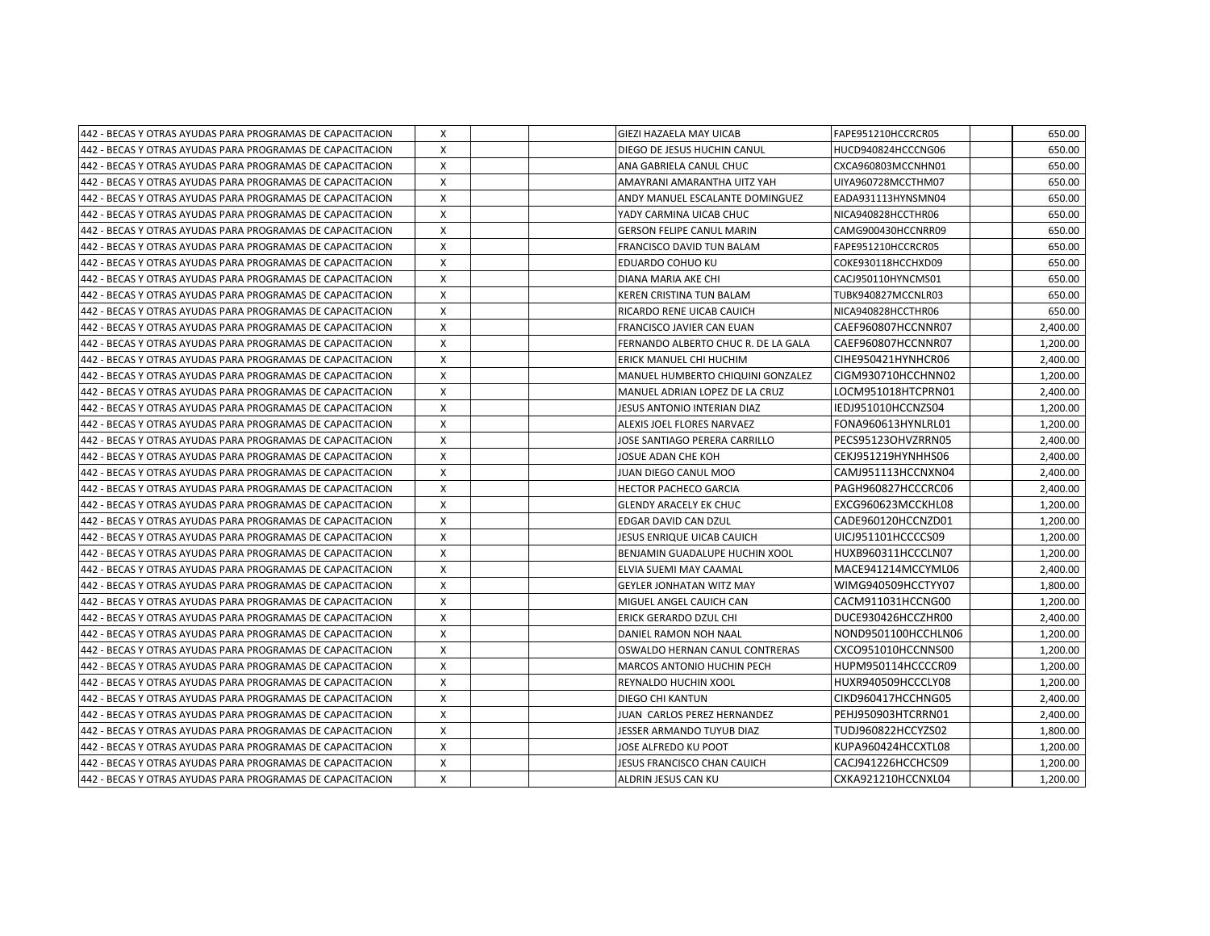| 442 - BECAS Y OTRAS AYUDAS PARA PROGRAMAS DE CAPACITACION  | Χ            |  | GIEZI HAZAELA MAY UICAB             | FAPE951210HCCRCR05  | 650.00   |
|------------------------------------------------------------|--------------|--|-------------------------------------|---------------------|----------|
| 442 - BECAS Y OTRAS AYUDAS PARA PROGRAMAS DE CAPACITACION  | X            |  | DIEGO DE JESUS HUCHIN CANUL         | HUCD940824HCCCNG06  | 650.00   |
| 442 - BECAS Y OTRAS AYUDAS PARA PROGRAMAS DE CAPACITACION  | $\mathsf{x}$ |  | ANA GABRIELA CANUL CHUC             | CXCA960803MCCNHN01  | 650.00   |
| 442 - BECAS Y OTRAS AYUDAS PARA PROGRAMAS DE CAPACITACION  | X            |  | AMAYRANI AMARANTHA UITZ YAH         | UIYA960728MCCTHM07  | 650.00   |
| 442 - BECAS Y OTRAS AYUDAS PARA PROGRAMAS DE CAPACITACION  | X            |  | ANDY MANUEL ESCALANTE DOMINGUEZ     | EADA931113HYNSMN04  | 650.00   |
| 442 - BECAS Y OTRAS AYUDAS PARA PROGRAMAS DE CAPACITACION  | X            |  | YADY CARMINA UICAB CHUC             | NICA940828HCCTHR06  | 650.00   |
| 442 - BECAS Y OTRAS AYUDAS PARA PROGRAMAS DE CAPACITACION  | X            |  | <b>GERSON FELIPE CANUL MARIN</b>    | CAMG900430HCCNRR09  | 650.00   |
| 442 - BECAS Y OTRAS AYUDAS PARA PROGRAMAS DE CAPACITACION  | X            |  | <b>FRANCISCO DAVID TUN BALAM</b>    | FAPE951210HCCRCR05  | 650.00   |
| 442 - BECAS Y OTRAS AYUDAS PARA PROGRAMAS DE CAPACITACION  | $\mathsf{x}$ |  | <b>EDUARDO COHUO KU</b>             | COKE930118HCCHXD09  | 650.00   |
| 442 - BECAS Y OTRAS AYUDAS PARA PROGRAMAS DE CAPACITACION  | X            |  | DIANA MARIA AKE CHI                 | CACJ950110HYNCMS01  | 650.00   |
| 442 - BECAS Y OTRAS AYUDAS PARA PROGRAMAS DE CAPACITACION  | X            |  | KEREN CRISTINA TUN BALAM            | TUBK940827MCCNLR03  | 650.00   |
| 442 - BECAS Y OTRAS AYUDAS PARA PROGRAMAS DE CAPACITACION  | $\mathsf{x}$ |  | RICARDO RENE UICAB CAUICH           | NICA940828HCCTHR06  | 650.00   |
| 442 - BECAS Y OTRAS AYUDAS PARA PROGRAMAS DE CAPACITACION  | X            |  | <b>FRANCISCO JAVIER CAN EUAN</b>    | CAEF960807HCCNNR07  | 2,400.00 |
| 442 - BECAS Y OTRAS AYUDAS PARA PROGRAMAS DE CAPACITACION  | X            |  | FERNANDO ALBERTO CHUC R. DE LA GALA | CAEF960807HCCNNR07  | 1,200.00 |
| 442 - BECAS Y OTRAS AYUDAS PARA PROGRAMAS DE CAPACITACION  | X            |  | ERICK MANUEL CHI HUCHIM             | CIHE950421HYNHCR06  | 2,400.00 |
| 442 - BECAS Y OTRAS AYUDAS PARA PROGRAMAS DE CAPACITACION  | X            |  | MANUEL HUMBERTO CHIQUINI GONZALEZ   | CIGM930710HCCHNN02  | 1,200.00 |
| 442 - BECAS Y OTRAS AYUDAS PARA PROGRAMAS DE CAPACITACION  | X            |  | MANUEL ADRIAN LOPEZ DE LA CRUZ      | LOCM951018HTCPRN01  | 2,400.00 |
| 442 - BECAS Y OTRAS AYUDAS PARA PROGRAMAS DE CAPACITACION  | $\mathsf{x}$ |  | JESUS ANTONIO INTERIAN DIAZ         | IEDJ951010HCCNZS04  | 1,200.00 |
| 442 - BECAS Y OTRAS AYUDAS PARA PROGRAMAS DE CAPACITACION  | $\mathsf{x}$ |  | ALEXIS JOEL FLORES NARVAEZ          | FONA960613HYNLRL01  | 1,200.00 |
| 1442 - BECAS Y OTRAS AYUDAS PARA PROGRAMAS DE CAPACITACION | X            |  | JOSE SANTIAGO PERERA CARRILLO       | PECS95123OHVZRRN05  | 2,400.00 |
| 442 - BECAS Y OTRAS AYUDAS PARA PROGRAMAS DE CAPACITACION  | X            |  | JOSUE ADAN CHE KOH                  | CEKJ951219HYNHHS06  | 2,400.00 |
| 1442 - BECAS Y OTRAS AYUDAS PARA PROGRAMAS DE CAPACITACION | $\mathsf{x}$ |  | JUAN DIEGO CANUL MOO                | CAMJ951113HCCNXN04  | 2,400.00 |
| 442 - BECAS Y OTRAS AYUDAS PARA PROGRAMAS DE CAPACITACION  | X            |  | <b>HECTOR PACHECO GARCIA</b>        | PAGH960827HCCCRC06  | 2,400.00 |
| 442 - BECAS Y OTRAS AYUDAS PARA PROGRAMAS DE CAPACITACION  | X            |  | <b>GLENDY ARACELY EK CHUC</b>       | EXCG960623MCCKHL08  | 1,200.00 |
| 442 - BECAS Y OTRAS AYUDAS PARA PROGRAMAS DE CAPACITACION  | $\mathsf{x}$ |  | EDGAR DAVID CAN DZUL                | CADE960120HCCNZD01  | 1,200.00 |
| 1442 - BECAS Y OTRAS AYUDAS PARA PROGRAMAS DE CAPACITACION | X            |  | JESUS ENRIQUE UICAB CAUICH          | UICJ951101HCCCCS09  | 1,200.00 |
| 442 - BECAS Y OTRAS AYUDAS PARA PROGRAMAS DE CAPACITACION  | X            |  | BENJAMIN GUADALUPE HUCHIN XOOL      | HUXB960311HCCCLN07  | 1,200.00 |
| 442 - BECAS Y OTRAS AYUDAS PARA PROGRAMAS DE CAPACITACION  | X            |  | ELVIA SUEMI MAY CAAMAL              | MACE941214MCCYML06  | 2,400.00 |
| 442 - BECAS Y OTRAS AYUDAS PARA PROGRAMAS DE CAPACITACION  | X            |  | <b>GEYLER JONHATAN WITZ MAY</b>     | WIMG940509HCCTYY07  | 1,800.00 |
| 442 - BECAS Y OTRAS AYUDAS PARA PROGRAMAS DE CAPACITACION  | X            |  | MIGUEL ANGEL CAUICH CAN             | CACM911031HCCNG00   | 1,200.00 |
| 442 - BECAS Y OTRAS AYUDAS PARA PROGRAMAS DE CAPACITACION  | $\mathsf{x}$ |  | ERICK GERARDO DZUL CHI              | DUCE930426HCCZHR00  | 2,400.00 |
| 1442 - BECAS Y OTRAS AYUDAS PARA PROGRAMAS DE CAPACITACION | $\mathsf{x}$ |  | DANIEL RAMON NOH NAAL               | NOND9501100HCCHLN06 | 1,200.00 |
| 1442 - BECAS Y OTRAS AYUDAS PARA PROGRAMAS DE CAPACITACION | X            |  | OSWALDO HERNAN CANUL CONTRERAS      | CXCO951010HCCNNS00  | 1,200.00 |
| 442 - BECAS Y OTRAS AYUDAS PARA PROGRAMAS DE CAPACITACION  | $\mathsf{x}$ |  | <b>MARCOS ANTONIO HUCHIN PECH</b>   | HUPM950114HCCCCR09  | 1,200.00 |
| 442 - BECAS Y OTRAS AYUDAS PARA PROGRAMAS DE CAPACITACION  | $\mathsf{x}$ |  | REYNALDO HUCHIN XOOL                | HUXR940509HCCCLY08  | 1,200.00 |
| 442 - BECAS Y OTRAS AYUDAS PARA PROGRAMAS DE CAPACITACION  | X            |  | <b>DIEGO CHI KANTUN</b>             | CIKD960417HCCHNG05  | 2,400.00 |
| 442 - BECAS Y OTRAS AYUDAS PARA PROGRAMAS DE CAPACITACION  | X            |  | JUAN CARLOS PEREZ HERNANDEZ         | PEHJ950903HTCRRN01  | 2,400.00 |
| 442 - BECAS Y OTRAS AYUDAS PARA PROGRAMAS DE CAPACITACION  | X            |  | JESSER ARMANDO TUYUB DIAZ           | TUDJ960822HCCYZS02  | 1,800.00 |
| 442 - BECAS Y OTRAS AYUDAS PARA PROGRAMAS DE CAPACITACION  | x            |  | JOSE ALFREDO KU POOT                | KUPA960424HCCXTL08  | 1,200.00 |
| 442 - BECAS Y OTRAS AYUDAS PARA PROGRAMAS DE CAPACITACION  | X            |  | JESUS FRANCISCO CHAN CAUICH         | CACJ941226HCCHCS09  | 1,200.00 |
| 442 - BECAS Y OTRAS AYUDAS PARA PROGRAMAS DE CAPACITACION  | X            |  | ALDRIN JESUS CAN KU                 | CXKA921210HCCNXL04  | 1,200.00 |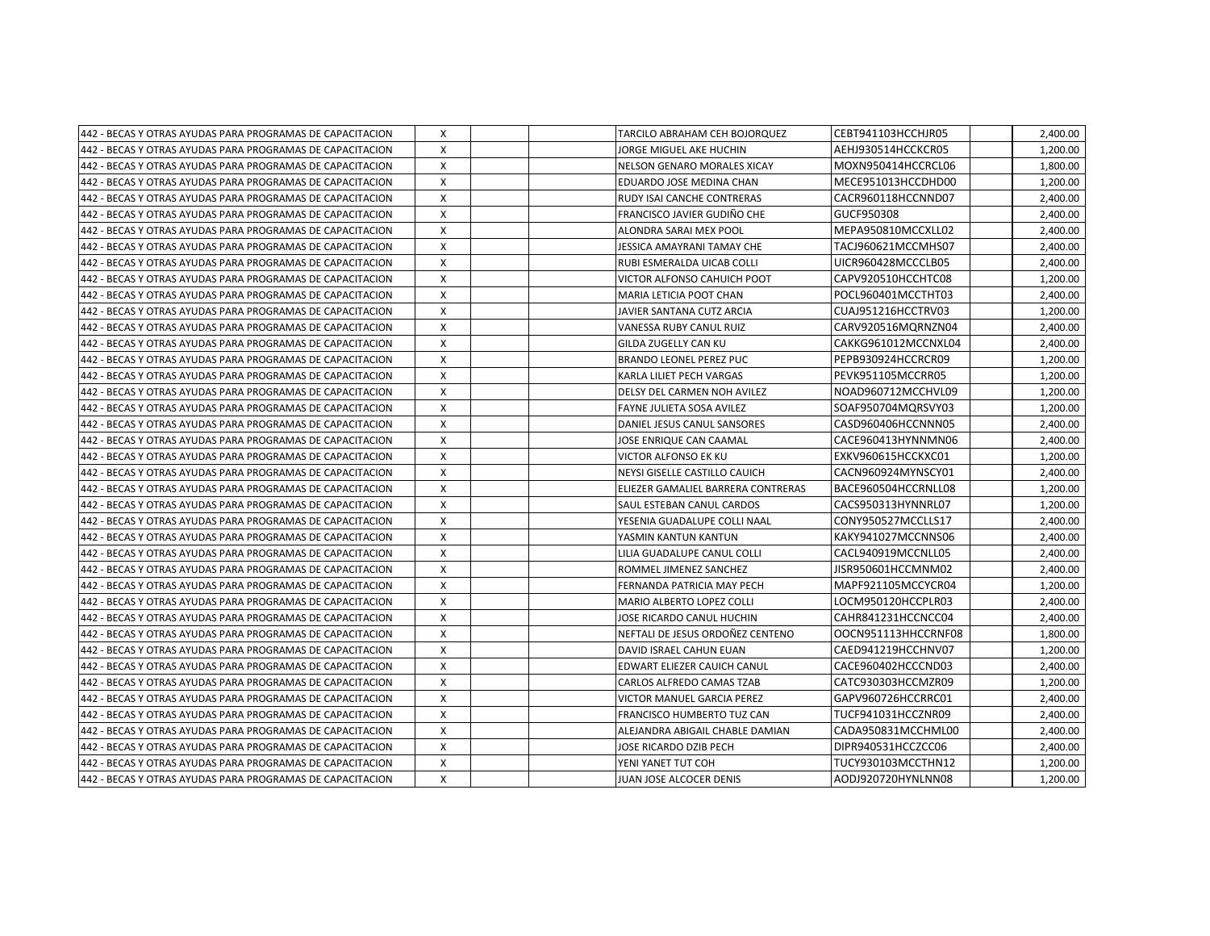| 442 - BECAS Y OTRAS AYUDAS PARA PROGRAMAS DE CAPACITACION  | X            | TARCILO ABRAHAM CEH BOJORQUEZ      | CEBT941103HCCHJR05  | 2,400.00 |
|------------------------------------------------------------|--------------|------------------------------------|---------------------|----------|
| 442 - BECAS Y OTRAS AYUDAS PARA PROGRAMAS DE CAPACITACION  | X            | JORGE MIGUEL AKE HUCHIN            | AEHJ930514HCCKCR05  | 1,200.00 |
| 442 - BECAS Y OTRAS AYUDAS PARA PROGRAMAS DE CAPACITACION  | $\mathsf{x}$ | NELSON GENARO MORALES XICAY        | MOXN950414HCCRCL06  | 1,800.00 |
| 442 - BECAS Y OTRAS AYUDAS PARA PROGRAMAS DE CAPACITACION  | X            | EDUARDO JOSE MEDINA CHAN           | MECE951013HCCDHD00  | 1,200.00 |
| 442 - BECAS Y OTRAS AYUDAS PARA PROGRAMAS DE CAPACITACION  | X            | RUDY ISAI CANCHE CONTRERAS         | CACR960118HCCNND07  | 2,400.00 |
| 442 - BECAS Y OTRAS AYUDAS PARA PROGRAMAS DE CAPACITACION  | X            | FRANCISCO JAVIER GUDIÑO CHE        | GUCF950308          | 2,400.00 |
| 442 - BECAS Y OTRAS AYUDAS PARA PROGRAMAS DE CAPACITACION  | X            | ALONDRA SARAI MEX POOL             | MEPA950810MCCXLL02  | 2,400.00 |
| 442 - BECAS Y OTRAS AYUDAS PARA PROGRAMAS DE CAPACITACION  | X            | JESSICA AMAYRANI TAMAY CHE         | TACJ960621MCCMHS07  | 2,400.00 |
| 442 - BECAS Y OTRAS AYUDAS PARA PROGRAMAS DE CAPACITACION  | $\mathsf{x}$ | RUBI ESMERALDA UICAB COLLI         | UICR960428MCCCLB05  | 2,400.00 |
| 442 - BECAS Y OTRAS AYUDAS PARA PROGRAMAS DE CAPACITACION  | X            | VICTOR ALFONSO CAHUICH POOT        | CAPV920510HCCHTC08  | 1,200.00 |
| 442 - BECAS Y OTRAS AYUDAS PARA PROGRAMAS DE CAPACITACION  | X            | <b>MARIA LETICIA POOT CHAN</b>     | POCL960401MCCTHT03  | 2,400.00 |
| 442 - BECAS Y OTRAS AYUDAS PARA PROGRAMAS DE CAPACITACION  | $\mathsf{x}$ | JAVIER SANTANA CUTZ ARCIA          | CUAJ951216HCCTRV03  | 1,200.00 |
| 442 - BECAS Y OTRAS AYUDAS PARA PROGRAMAS DE CAPACITACION  | X            | VANESSA RUBY CANUL RUIZ            | CARV920516MQRNZN04  | 2,400.00 |
| 442 - BECAS Y OTRAS AYUDAS PARA PROGRAMAS DE CAPACITACION  | X            | GILDA ZUGELLY CAN KU               | CAKKG961012MCCNXL04 | 2,400.00 |
| 442 - BECAS Y OTRAS AYUDAS PARA PROGRAMAS DE CAPACITACION  | X            | <b>BRANDO LEONEL PEREZ PUC</b>     | PEPB930924HCCRCR09  | 1,200.00 |
| 442 - BECAS Y OTRAS AYUDAS PARA PROGRAMAS DE CAPACITACION  | X            | KARLA LILIET PECH VARGAS           | PEVK951105MCCRR05   | 1,200.00 |
| 442 - BECAS Y OTRAS AYUDAS PARA PROGRAMAS DE CAPACITACION  | X            | DELSY DEL CARMEN NOH AVILEZ        | NOAD960712MCCHVL09  | 1,200.00 |
| 442 - BECAS Y OTRAS AYUDAS PARA PROGRAMAS DE CAPACITACION  | $\mathsf{x}$ | <b>FAYNE JULIETA SOSA AVILEZ</b>   | SOAF950704MQRSVY03  | 1,200.00 |
| 442 - BECAS Y OTRAS AYUDAS PARA PROGRAMAS DE CAPACITACION  | $\mathsf{x}$ | DANIEL JESUS CANUL SANSORES        | CASD960406HCCNNN05  | 2,400.00 |
| 1442 - BECAS Y OTRAS AYUDAS PARA PROGRAMAS DE CAPACITACION | X            | JOSE ENRIQUE CAN CAAMAL            | CACE960413HYNNMN06  | 2,400.00 |
| 442 - BECAS Y OTRAS AYUDAS PARA PROGRAMAS DE CAPACITACION  | X            | <b>VICTOR ALFONSO EK KU</b>        | EXKV960615HCCKXC01  | 1,200.00 |
| 442 - BECAS Y OTRAS AYUDAS PARA PROGRAMAS DE CAPACITACION  | $\times$     | NEYSI GISELLE CASTILLO CAUICH      | CACN960924MYNSCY01  | 2,400.00 |
| 442 - BECAS Y OTRAS AYUDAS PARA PROGRAMAS DE CAPACITACION  | X            | ELIEZER GAMALIEL BARRERA CONTRERAS | BACE960504HCCRNLL08 | 1,200.00 |
| 442 - BECAS Y OTRAS AYUDAS PARA PROGRAMAS DE CAPACITACION  | X            | SAUL ESTEBAN CANUL CARDOS          | CACS950313HYNNRL07  | 1,200.00 |
| 442 - BECAS Y OTRAS AYUDAS PARA PROGRAMAS DE CAPACITACION  | $\mathsf{x}$ | YESENIA GUADALUPE COLLI NAAL       | CONY950527MCCLLS17  | 2,400.00 |
| 1442 - BECAS Y OTRAS AYUDAS PARA PROGRAMAS DE CAPACITACION | X            | YASMIN KANTUN KANTUN               | KAKY941027MCCNNS06  | 2,400.00 |
| 442 - BECAS Y OTRAS AYUDAS PARA PROGRAMAS DE CAPACITACION  | X            | LILIA GUADALUPE CANUL COLLI        | CACL940919MCCNLL05  | 2,400.00 |
| 442 - BECAS Y OTRAS AYUDAS PARA PROGRAMAS DE CAPACITACION  | X            | ROMMEL JIMENEZ SANCHEZ             | JISR950601HCCMNM02  | 2,400.00 |
| 442 - BECAS Y OTRAS AYUDAS PARA PROGRAMAS DE CAPACITACION  | X            | FERNANDA PATRICIA MAY PECH         | MAPF921105MCCYCR04  | 1,200.00 |
| 442 - BECAS Y OTRAS AYUDAS PARA PROGRAMAS DE CAPACITACION  | X            | MARIO ALBERTO LOPEZ COLLI          | LOCM950120HCCPLR03  | 2,400.00 |
| 442 - BECAS Y OTRAS AYUDAS PARA PROGRAMAS DE CAPACITACION  | $\mathsf{x}$ | JOSE RICARDO CANUL HUCHIN          | CAHR841231HCCNCC04  | 2,400.00 |
| 1442 - BECAS Y OTRAS AYUDAS PARA PROGRAMAS DE CAPACITACION | $\mathsf{x}$ | NEFTALI DE JESUS ORDOÑEZ CENTENO   | OOCN951113HHCCRNF08 | 1,800.00 |
| 442 - BECAS Y OTRAS AYUDAS PARA PROGRAMAS DE CAPACITACION  | X            | DAVID ISRAEL CAHUN EUAN            | CAED941219HCCHNV07  | 1,200.00 |
| 442 - BECAS Y OTRAS AYUDAS PARA PROGRAMAS DE CAPACITACION  | $\mathsf{x}$ | EDWART ELIEZER CAUICH CANUL        | CACE960402HCCCND03  | 2,400.00 |
| 442 - BECAS Y OTRAS AYUDAS PARA PROGRAMAS DE CAPACITACION  | $\times$     | CARLOS ALFREDO CAMAS TZAB          | CATC930303HCCMZR09  | 1,200.00 |
| 442 - BECAS Y OTRAS AYUDAS PARA PROGRAMAS DE CAPACITACION  | X            | VICTOR MANUEL GARCIA PEREZ         | GAPV960726HCCRRC01  | 2,400.00 |
| 442 - BECAS Y OTRAS AYUDAS PARA PROGRAMAS DE CAPACITACION  | X            | <b>FRANCISCO HUMBERTO TUZ CAN</b>  | TUCF941031HCCZNR09  | 2,400.00 |
| 442 - BECAS Y OTRAS AYUDAS PARA PROGRAMAS DE CAPACITACION  | X            | ALEJANDRA ABIGAIL CHABLE DAMIAN    | CADA950831MCCHML00  | 2,400.00 |
| 442 - BECAS Y OTRAS AYUDAS PARA PROGRAMAS DE CAPACITACION  | X            | JOSE RICARDO DZIB PECH             | DIPR940531HCCZCC06  | 2,400.00 |
| 442 - BECAS Y OTRAS AYUDAS PARA PROGRAMAS DE CAPACITACION  | X            | YENI YANET TUT COH                 | TUCY930103MCCTHN12  | 1,200.00 |
| 442 - BECAS Y OTRAS AYUDAS PARA PROGRAMAS DE CAPACITACION  | X            | JUAN JOSE ALCOCER DENIS            | AODJ920720HYNLNN08  | 1,200.00 |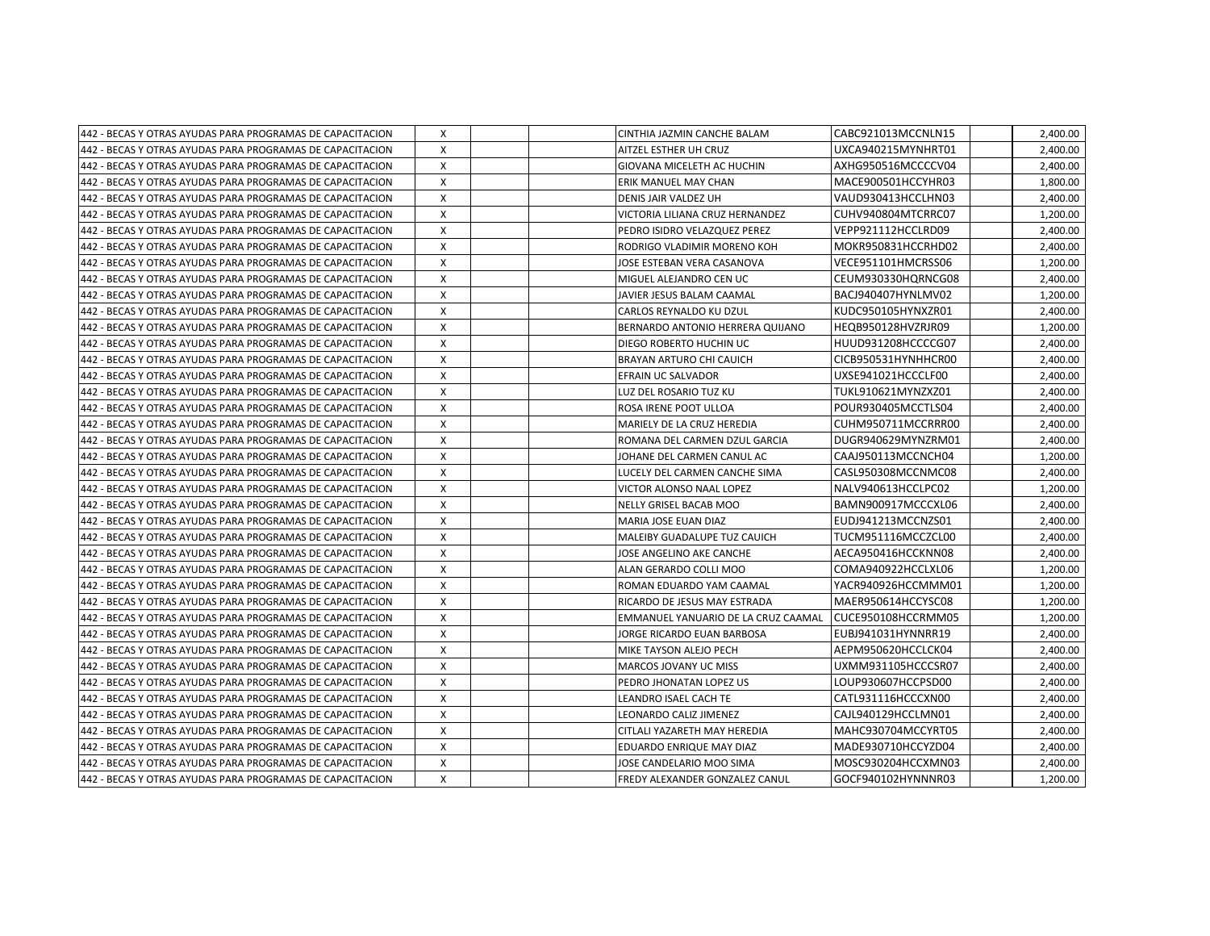| 442 - BECAS Y OTRAS AYUDAS PARA PROGRAMAS DE CAPACITACION | X | CINTHIA JAZMIN CANCHE BALAM         | CABC921013MCCNLN15  | 2,400.00 |
|-----------------------------------------------------------|---|-------------------------------------|---------------------|----------|
| 442 - BECAS Y OTRAS AYUDAS PARA PROGRAMAS DE CAPACITACION | X | AITZEL ESTHER UH CRUZ               | UXCA940215MYNHRT01  | 2,400.00 |
| 442 - BECAS Y OTRAS AYUDAS PARA PROGRAMAS DE CAPACITACION | X | GIOVANA MICELETH AC HUCHIN          | AXHG950516MCCCCV04  | 2,400.00 |
| 442 - BECAS Y OTRAS AYUDAS PARA PROGRAMAS DE CAPACITACION | X | ERIK MANUEL MAY CHAN                | MACE900501HCCYHR03  | 1,800.00 |
| 442 - BECAS Y OTRAS AYUDAS PARA PROGRAMAS DE CAPACITACION | X | DENIS JAIR VALDEZ UH                | VAUD930413HCCLHN03  | 2,400.00 |
| 442 - BECAS Y OTRAS AYUDAS PARA PROGRAMAS DE CAPACITACION | X | VICTORIA LILIANA CRUZ HERNANDEZ     | CUHV940804MTCRRC07  | 1,200.00 |
| 442 - BECAS Y OTRAS AYUDAS PARA PROGRAMAS DE CAPACITACION | X | PEDRO ISIDRO VELAZQUEZ PEREZ        | VEPP921112HCCLRD09  | 2,400.00 |
| 442 - BECAS Y OTRAS AYUDAS PARA PROGRAMAS DE CAPACITACION | X | RODRIGO VLADIMIR MORENO KOH         | MOKR950831HCCRHD02  | 2,400.00 |
| 442 - BECAS Y OTRAS AYUDAS PARA PROGRAMAS DE CAPACITACION | X | JOSE ESTEBAN VERA CASANOVA          | VECE951101HMCRSS06  | 1,200.00 |
| 442 - BECAS Y OTRAS AYUDAS PARA PROGRAMAS DE CAPACITACION | X | MIGUEL ALEJANDRO CEN UC             | CEUM930330HQRNCG08  | 2,400.00 |
| 442 - BECAS Y OTRAS AYUDAS PARA PROGRAMAS DE CAPACITACION | X | JAVIER JESUS BALAM CAAMAL           | BACJ940407HYNLMV02  | 1,200.00 |
| 442 - BECAS Y OTRAS AYUDAS PARA PROGRAMAS DE CAPACITACION | X | CARLOS REYNALDO KU DZUL             | KUDC950105HYNXZR01  | 2,400.00 |
| 442 - BECAS Y OTRAS AYUDAS PARA PROGRAMAS DE CAPACITACION | X | BERNARDO ANTONIO HERRERA QUIJANO    | HEQB950128HVZRJR09  | 1,200.00 |
| 442 - BECAS Y OTRAS AYUDAS PARA PROGRAMAS DE CAPACITACION | X | DIEGO ROBERTO HUCHIN UC             | HUUD931208HCCCCG07  | 2,400.00 |
| 442 - BECAS Y OTRAS AYUDAS PARA PROGRAMAS DE CAPACITACION | X | <b>BRAYAN ARTURO CHI CAUICH</b>     | CICB950531HYNHHCR00 | 2,400.00 |
| 442 - BECAS Y OTRAS AYUDAS PARA PROGRAMAS DE CAPACITACION | X | EFRAIN UC SALVADOR                  | UXSE941021HCCCLF00  | 2,400.00 |
| 442 - BECAS Y OTRAS AYUDAS PARA PROGRAMAS DE CAPACITACION | X | LUZ DEL ROSARIO TUZ KU              | TUKL910621MYNZXZ01  | 2,400.00 |
| 442 - BECAS Y OTRAS AYUDAS PARA PROGRAMAS DE CAPACITACION | X | ROSA IRENE POOT ULLOA               | POUR930405MCCTLS04  | 2,400.00 |
| 442 - BECAS Y OTRAS AYUDAS PARA PROGRAMAS DE CAPACITACION | X | MARIELY DE LA CRUZ HEREDIA          | CUHM950711MCCRRR00  | 2,400.00 |
| 442 - BECAS Y OTRAS AYUDAS PARA PROGRAMAS DE CAPACITACION | X | ROMANA DEL CARMEN DZUL GARCIA       | DUGR940629MYNZRM01  | 2,400.00 |
| 442 - BECAS Y OTRAS AYUDAS PARA PROGRAMAS DE CAPACITACION | X | JOHANE DEL CARMEN CANUL AC          | CAAJ950113MCCNCH04  | 1,200.00 |
| 442 - BECAS Y OTRAS AYUDAS PARA PROGRAMAS DE CAPACITACION | X | LUCELY DEL CARMEN CANCHE SIMA       | CASL950308MCCNMC08  | 2,400.00 |
| 442 - BECAS Y OTRAS AYUDAS PARA PROGRAMAS DE CAPACITACION | X | VICTOR ALONSO NAAL LOPEZ            | NALV940613HCCLPC02  | 1,200.00 |
| 442 - BECAS Y OTRAS AYUDAS PARA PROGRAMAS DE CAPACITACION | X | NELLY GRISEL BACAB MOO              | BAMN900917MCCCXL06  | 2,400.00 |
| 442 - BECAS Y OTRAS AYUDAS PARA PROGRAMAS DE CAPACITACION | X | MARIA JOSE EUAN DIAZ                | EUDJ941213MCCNZS01  | 2,400.00 |
| 442 - BECAS Y OTRAS AYUDAS PARA PROGRAMAS DE CAPACITACION | X | MALEIBY GUADALUPE TUZ CAUICH        | TUCM951116MCCZCL00  | 2,400.00 |
| 442 - BECAS Y OTRAS AYUDAS PARA PROGRAMAS DE CAPACITACION | X | JOSE ANGELINO AKE CANCHE            | AECA950416HCCKNN08  | 2,400.00 |
| 442 - BECAS Y OTRAS AYUDAS PARA PROGRAMAS DE CAPACITACION | X | ALAN GERARDO COLLI MOO              | COMA940922HCCLXL06  | 1,200.00 |
| 442 - BECAS Y OTRAS AYUDAS PARA PROGRAMAS DE CAPACITACION | X | ROMAN EDUARDO YAM CAAMAL            | YACR940926HCCMMM01  | 1,200.00 |
| 442 - BECAS Y OTRAS AYUDAS PARA PROGRAMAS DE CAPACITACION | X | RICARDO DE JESUS MAY ESTRADA        | MAER950614HCCYSC08  | 1,200.00 |
| 442 - BECAS Y OTRAS AYUDAS PARA PROGRAMAS DE CAPACITACION | X | EMMANUEL YANUARIO DE LA CRUZ CAAMAL | CUCE950108HCCRMM05  | 1,200.00 |
| 442 - BECAS Y OTRAS AYUDAS PARA PROGRAMAS DE CAPACITACION | X | JORGE RICARDO EUAN BARBOSA          | EUBJ941031HYNNRR19  | 2,400.00 |
| 442 - BECAS Y OTRAS AYUDAS PARA PROGRAMAS DE CAPACITACION | X | MIKE TAYSON ALEJO PECH              | AEPM950620HCCLCK04  | 2,400.00 |
| 442 - BECAS Y OTRAS AYUDAS PARA PROGRAMAS DE CAPACITACION | X | <b>MARCOS JOVANY UC MISS</b>        | UXMM931105HCCCSR07  | 2,400.00 |
| 442 - BECAS Y OTRAS AYUDAS PARA PROGRAMAS DE CAPACITACION | X | PEDRO JHONATAN LOPEZ US             | LOUP930607HCCPSD00  | 2,400.00 |
| 442 - BECAS Y OTRAS AYUDAS PARA PROGRAMAS DE CAPACITACION | X | LEANDRO ISAEL CACH TE               | CATL931116HCCCXN00  | 2,400.00 |
| 442 - BECAS Y OTRAS AYUDAS PARA PROGRAMAS DE CAPACITACION | X | LEONARDO CALIZ JIMENEZ              | CAJL940129HCCLMN01  | 2,400.00 |
| 442 - BECAS Y OTRAS AYUDAS PARA PROGRAMAS DE CAPACITACION | X | CITLALI YAZARETH MAY HEREDIA        | MAHC930704MCCYRT05  | 2,400.00 |
| 442 - BECAS Y OTRAS AYUDAS PARA PROGRAMAS DE CAPACITACION | X | EDUARDO ENRIQUE MAY DIAZ            | MADE930710HCCYZD04  | 2,400.00 |
| 442 - BECAS Y OTRAS AYUDAS PARA PROGRAMAS DE CAPACITACION | X | JOSE CANDELARIO MOO SIMA            | MOSC930204HCCXMN03  | 2,400.00 |
| 442 - BECAS Y OTRAS AYUDAS PARA PROGRAMAS DE CAPACITACION | X | FREDY ALEXANDER GONZALEZ CANUL      | GOCF940102HYNNNR03  | 1,200.00 |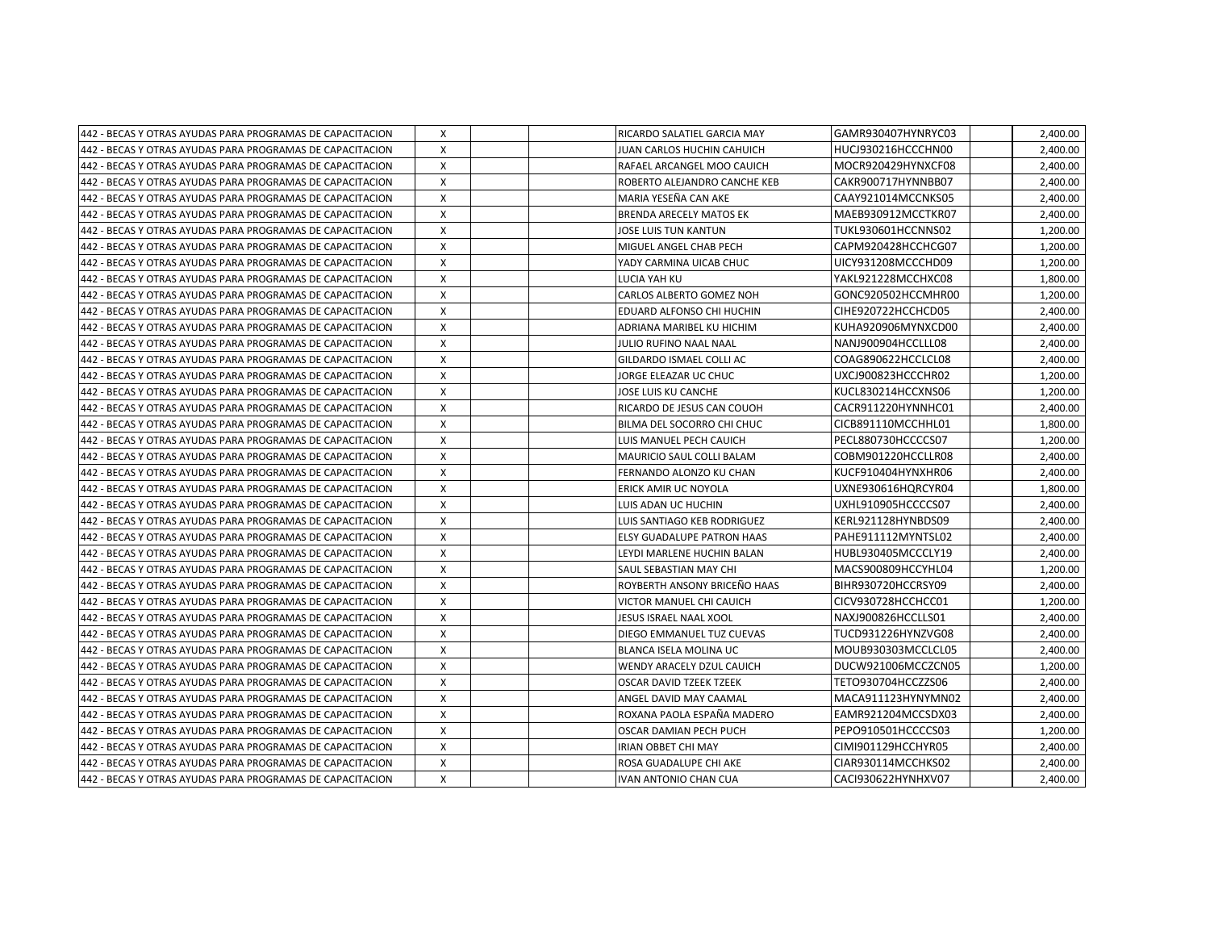| 442 - BECAS Y OTRAS AYUDAS PARA PROGRAMAS DE CAPACITACION  | X            | RICARDO SALATIEL GARCIA MAY       | GAMR930407HYNRYC03 | 2,400.00 |
|------------------------------------------------------------|--------------|-----------------------------------|--------------------|----------|
| 442 - BECAS Y OTRAS AYUDAS PARA PROGRAMAS DE CAPACITACION  | X            | JUAN CARLOS HUCHIN CAHUICH        | HUCJ930216HCCCHN00 | 2,400.00 |
| 442 - BECAS Y OTRAS AYUDAS PARA PROGRAMAS DE CAPACITACION  | $\times$     | RAFAEL ARCANGEL MOO CAUICH        | MOCR920429HYNXCF08 | 2,400.00 |
| 442 - BECAS Y OTRAS AYUDAS PARA PROGRAMAS DE CAPACITACION  | X            | ROBERTO ALEJANDRO CANCHE KEB      | CAKR900717HYNNBB07 | 2,400.00 |
| 442 - BECAS Y OTRAS AYUDAS PARA PROGRAMAS DE CAPACITACION  | X            | MARIA YESEÑA CAN AKE              | CAAY921014MCCNKS05 | 2,400.00 |
| 442 - BECAS Y OTRAS AYUDAS PARA PROGRAMAS DE CAPACITACION  | X            | <b>BRENDA ARECELY MATOS EK</b>    | MAEB930912MCCTKR07 | 2,400.00 |
| 442 - BECAS Y OTRAS AYUDAS PARA PROGRAMAS DE CAPACITACION  | x            | JOSE LUIS TUN KANTUN              | TUKL930601HCCNNS02 | 1,200.00 |
| 442 - BECAS Y OTRAS AYUDAS PARA PROGRAMAS DE CAPACITACION  | X            | MIGUEL ANGEL CHAB PECH            | CAPM920428HCCHCG07 | 1,200.00 |
| 442 - BECAS Y OTRAS AYUDAS PARA PROGRAMAS DE CAPACITACION  | X            | YADY CARMINA UICAB CHUC           | UICY931208MCCCHD09 | 1,200.00 |
| 442 - BECAS Y OTRAS AYUDAS PARA PROGRAMAS DE CAPACITACION  | X            | LUCIA YAH KU                      | YAKL921228MCCHXC08 | 1,800.00 |
| 442 - BECAS Y OTRAS AYUDAS PARA PROGRAMAS DE CAPACITACION  | X            | CARLOS ALBERTO GOMEZ NOH          | GONC920502HCCMHR00 | 1,200.00 |
| 442 - BECAS Y OTRAS AYUDAS PARA PROGRAMAS DE CAPACITACION  | $\mathsf{x}$ | EDUARD ALFONSO CHI HUCHIN         | CIHE920722HCCHCD05 | 2,400.00 |
| 442 - BECAS Y OTRAS AYUDAS PARA PROGRAMAS DE CAPACITACION  | X            | ADRIANA MARIBEL KU HICHIM         | KUHA920906MYNXCD00 | 2,400.00 |
| 442 - BECAS Y OTRAS AYUDAS PARA PROGRAMAS DE CAPACITACION  | X            | JULIO RUFINO NAAL NAAL            | NANJ900904HCCLLL08 | 2,400.00 |
| 1442 - BECAS Y OTRAS AYUDAS PARA PROGRAMAS DE CAPACITACION | X            | GILDARDO ISMAEL COLLI AC          | COAG890622HCCLCL08 | 2,400.00 |
| 1442 - BECAS Y OTRAS AYUDAS PARA PROGRAMAS DE CAPACITACION | X            | JORGE ELEAZAR UC CHUC             | UXCJ900823HCCCHR02 | 1,200.00 |
| 442 - BECAS Y OTRAS AYUDAS PARA PROGRAMAS DE CAPACITACION  | x            | JOSE LUIS KU CANCHE               | KUCL830214HCCXNS06 | 1,200.00 |
| 442 - BECAS Y OTRAS AYUDAS PARA PROGRAMAS DE CAPACITACION  | X            | RICARDO DE JESUS CAN COUOH        | CACR911220HYNNHC01 | 2,400.00 |
| 442 - BECAS Y OTRAS AYUDAS PARA PROGRAMAS DE CAPACITACION  | X            | BILMA DEL SOCORRO CHI CHUC        | CICB891110MCCHHL01 | 1,800.00 |
| 442 - BECAS Y OTRAS AYUDAS PARA PROGRAMAS DE CAPACITACION  | X            | LUIS MANUEL PECH CAUICH           | PECL880730HCCCCS07 | 1,200.00 |
| 442 - BECAS Y OTRAS AYUDAS PARA PROGRAMAS DE CAPACITACION  | X            | MAURICIO SAUL COLLI BALAM         | COBM901220HCCLLR08 | 2,400.00 |
| 442 - BECAS Y OTRAS AYUDAS PARA PROGRAMAS DE CAPACITACION  | X            | FERNANDO ALONZO KU CHAN           | KUCF910404HYNXHR06 | 2,400.00 |
| 442 - BECAS Y OTRAS AYUDAS PARA PROGRAMAS DE CAPACITACION  | X            | ERICK AMIR UC NOYOLA              | UXNE930616HQRCYR04 | 1,800.00 |
| 442 - BECAS Y OTRAS AYUDAS PARA PROGRAMAS DE CAPACITACION  | $\mathsf{x}$ | LUIS ADAN UC HUCHIN               | UXHL910905HCCCCS07 | 2,400.00 |
| 442 - BECAS Y OTRAS AYUDAS PARA PROGRAMAS DE CAPACITACION  | $\mathsf{x}$ | LUIS SANTIAGO KEB RODRIGUEZ       | KERL921128HYNBDS09 | 2,400.00 |
| 1442 - BECAS Y OTRAS AYUDAS PARA PROGRAMAS DE CAPACITACION | $\mathsf{x}$ | <b>ELSY GUADALUPE PATRON HAAS</b> | PAHE911112MYNTSL02 | 2,400.00 |
| 1442 - BECAS Y OTRAS AYUDAS PARA PROGRAMAS DE CAPACITACION | $\mathsf{x}$ | LEYDI MARLENE HUCHIN BALAN        | HUBL930405MCCCLY19 | 2,400.00 |
| 442 - BECAS Y OTRAS AYUDAS PARA PROGRAMAS DE CAPACITACION  | $\times$     | <b>SAUL SEBASTIAN MAY CHI</b>     | MACS900809HCCYHL04 | 1,200.00 |
| 442 - BECAS Y OTRAS AYUDAS PARA PROGRAMAS DE CAPACITACION  | X            | ROYBERTH ANSONY BRICEÑO HAAS      | BIHR930720HCCRSY09 | 2,400.00 |
| 442 - BECAS Y OTRAS AYUDAS PARA PROGRAMAS DE CAPACITACION  | X            | VICTOR MANUEL CHI CAUICH          | CICV930728HCCHCC01 | 1,200.00 |
| 442 - BECAS Y OTRAS AYUDAS PARA PROGRAMAS DE CAPACITACION  | $\mathsf{X}$ | JESUS ISRAEL NAAL XOOL            | NAXJ900826HCCLLS01 | 2,400.00 |
| 442 - BECAS Y OTRAS AYUDAS PARA PROGRAMAS DE CAPACITACION  | x            | DIEGO EMMANUEL TUZ CUEVAS         | TUCD931226HYNZVG08 | 2,400.00 |
| 442 - BECAS Y OTRAS AYUDAS PARA PROGRAMAS DE CAPACITACION  | X            | BLANCA ISELA MOLINA UC            | MOUB930303MCCLCL05 | 2,400.00 |
| 1442 - BECAS Y OTRAS AYUDAS PARA PROGRAMAS DE CAPACITACION | $\times$     | WENDY ARACELY DZUL CAUICH         | DUCW921006MCCZCN05 | 1,200.00 |
| 442 - BECAS Y OTRAS AYUDAS PARA PROGRAMAS DE CAPACITACION  | Χ            | OSCAR DAVID TZEEK TZEEK           | TETO930704HCCZZS06 | 2,400.00 |
| 442 - BECAS Y OTRAS AYUDAS PARA PROGRAMAS DE CAPACITACION  | X            | ANGEL DAVID MAY CAAMAL            | MACA911123HYNYMN02 | 2,400.00 |
| 442 - BECAS Y OTRAS AYUDAS PARA PROGRAMAS DE CAPACITACION  | $\mathsf{x}$ | ROXANA PAOLA ESPAÑA MADERO        | EAMR921204MCCSDX03 | 2,400.00 |
| 1442 - BECAS Y OTRAS AYUDAS PARA PROGRAMAS DE CAPACITACION | X            | OSCAR DAMIAN PECH PUCH            | PEPO910501HCCCCS03 | 1,200.00 |
| 442 - BECAS Y OTRAS AYUDAS PARA PROGRAMAS DE CAPACITACION  | X            | <b>IRIAN OBBET CHI MAY</b>        | CIMI901129HCCHYR05 | 2,400.00 |
| 442 - BECAS Y OTRAS AYUDAS PARA PROGRAMAS DE CAPACITACION  | $\mathsf{x}$ | ROSA GUADALUPE CHI AKE            | CIAR930114MCCHKS02 | 2,400.00 |
| 442 - BECAS Y OTRAS AYUDAS PARA PROGRAMAS DE CAPACITACION  | X            | IVAN ANTONIO CHAN CUA             | CACI930622HYNHXV07 | 2,400.00 |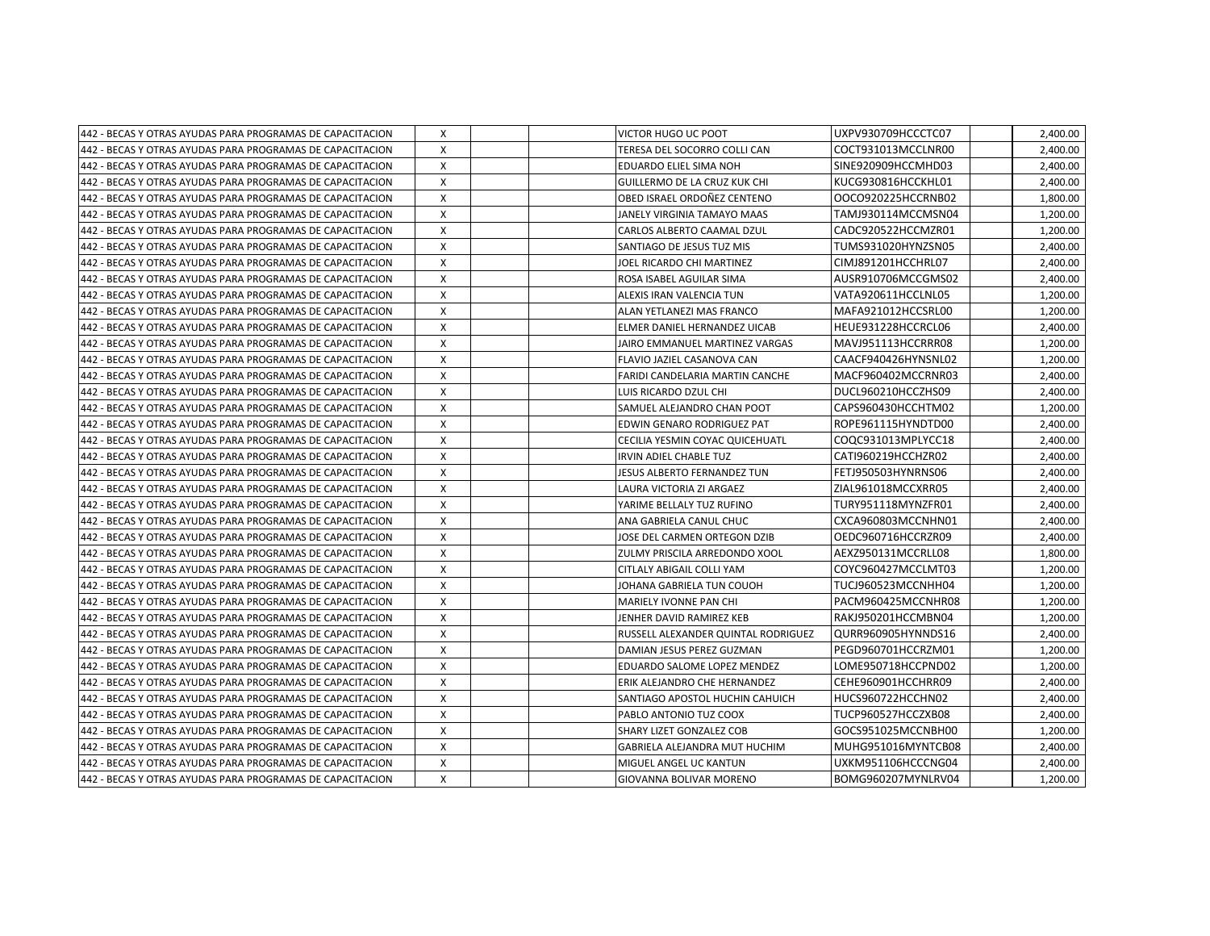| 442 - BECAS Y OTRAS AYUDAS PARA PROGRAMAS DE CAPACITACION  | X            | <b>VICTOR HUGO UC POOT</b>          | UXPV930709HCCCTC07  | 2,400.00 |
|------------------------------------------------------------|--------------|-------------------------------------|---------------------|----------|
| 1442 - BECAS Y OTRAS AYUDAS PARA PROGRAMAS DE CAPACITACION | X            | ITERESA DEL SOCORRO COLLI CAN       | COCT931013MCCLNR00  | 2,400.00 |
| 1442 - BECAS Y OTRAS AYUDAS PARA PROGRAMAS DE CAPACITACION | $\times$     | <b>EDUARDO ELIEL SIMA NOH</b>       | SINE920909HCCMHD03  | 2,400.00 |
| 442 - BECAS Y OTRAS AYUDAS PARA PROGRAMAS DE CAPACITACION  | X            | GUILLERMO DE LA CRUZ KUK CHI        | KUCG930816HCCKHL01  | 2,400.00 |
| 442 - BECAS Y OTRAS AYUDAS PARA PROGRAMAS DE CAPACITACION  | X            | OBED ISRAEL ORDONEZ CENTENO         | OOCO920225HCCRNB02  | 1,800.00 |
| 442 - BECAS Y OTRAS AYUDAS PARA PROGRAMAS DE CAPACITACION  | X            | JANELY VIRGINIA TAMAYO MAAS         | TAMJ930114MCCMSN04  | 1,200.00 |
| 442 - BECAS Y OTRAS AYUDAS PARA PROGRAMAS DE CAPACITACION  | X            | CARLOS ALBERTO CAAMAL DZUL          | CADC920522HCCMZR01  | 1,200.00 |
| 442 - BECAS Y OTRAS AYUDAS PARA PROGRAMAS DE CAPACITACION  | Χ            | SANTIAGO DE JESUS TUZ MIS           | TUMS931020HYNZSN05  | 2,400.00 |
| 442 - BECAS Y OTRAS AYUDAS PARA PROGRAMAS DE CAPACITACION  | X            | JOEL RICARDO CHI MARTINEZ           | CIMJ891201HCCHRL07  | 2,400.00 |
| 442 - BECAS Y OTRAS AYUDAS PARA PROGRAMAS DE CAPACITACION  | X            | ROSA ISABEL AGUILAR SIMA            | AUSR910706MCCGMS02  | 2,400.00 |
| 442 - BECAS Y OTRAS AYUDAS PARA PROGRAMAS DE CAPACITACION  | X            | ALEXIS IRAN VALENCIA TUN            | VATA920611HCCLNL05  | 1,200.00 |
| 442 - BECAS Y OTRAS AYUDAS PARA PROGRAMAS DE CAPACITACION  | X            | ALAN YETLANEZI MAS FRANCO           | MAFA921012HCCSRL00  | 1,200.00 |
| 442 - BECAS Y OTRAS AYUDAS PARA PROGRAMAS DE CAPACITACION  | X            | ELMER DANIEL HERNANDEZ UICAB        | HEUE931228HCCRCL06  | 2,400.00 |
| 442 - BECAS Y OTRAS AYUDAS PARA PROGRAMAS DE CAPACITACION  | X            | JAIRO EMMANUEL MARTINEZ VARGAS      | MAVJ951113HCCRRR08  | 1,200.00 |
| 442 - BECAS Y OTRAS AYUDAS PARA PROGRAMAS DE CAPACITACION  | $\mathsf{x}$ | FLAVIO JAZIEL CASANOVA CAN          | CAACF940426HYNSNL02 | 1,200.00 |
| 442 - BECAS Y OTRAS AYUDAS PARA PROGRAMAS DE CAPACITACION  | X            | FARIDI CANDELARIA MARTIN CANCHE     | MACF960402MCCRNR03  | 2,400.00 |
| 442 - BECAS Y OTRAS AYUDAS PARA PROGRAMAS DE CAPACITACION  | Χ            | LUIS RICARDO DZUL CHI               | DUCL960210HCCZHS09  | 2,400.00 |
| 442 - BECAS Y OTRAS AYUDAS PARA PROGRAMAS DE CAPACITACION  | X            | SAMUEL ALEJANDRO CHAN POOT          | CAPS960430HCCHTM02  | 1,200.00 |
| 442 - BECAS Y OTRAS AYUDAS PARA PROGRAMAS DE CAPACITACION  | X            | EDWIN GENARO RODRIGUEZ PAT          | ROPE961115HYNDTD00  | 2,400.00 |
| 442 - BECAS Y OTRAS AYUDAS PARA PROGRAMAS DE CAPACITACION  | X            | CECILIA YESMIN COYAC QUICEHUATL     | COQC931013MPLYCC18  | 2,400.00 |
| 442 - BECAS Y OTRAS AYUDAS PARA PROGRAMAS DE CAPACITACION  | $\times$     | IRVIN ADIEL CHABLE TUZ              | CATI960219HCCHZR02  | 2,400.00 |
| 442 - BECAS Y OTRAS AYUDAS PARA PROGRAMAS DE CAPACITACION  | x            | JESUS ALBERTO FERNANDEZ TUN         | FETJ950503HYNRNS06  | 2,400.00 |
| 442 - BECAS Y OTRAS AYUDAS PARA PROGRAMAS DE CAPACITACION  | X            | LAURA VICTORIA ZI ARGAEZ            | ZIAL961018MCCXRR05  | 2,400.00 |
| 442 - BECAS Y OTRAS AYUDAS PARA PROGRAMAS DE CAPACITACION  | $\mathsf{x}$ | YARIME BELLALY TUZ RUFINO           | TURY951118MYNZFR01  | 2,400.00 |
| 442 - BECAS Y OTRAS AYUDAS PARA PROGRAMAS DE CAPACITACION  | X            | ANA GABRIELA CANUL CHUC             | CXCA960803MCCNHN01  | 2,400.00 |
| 442 - BECAS Y OTRAS AYUDAS PARA PROGRAMAS DE CAPACITACION  | X            | JOSE DEL CARMEN ORTEGON DZIB        | OEDC960716HCCRZR09  | 2,400.00 |
| 442 - BECAS Y OTRAS AYUDAS PARA PROGRAMAS DE CAPACITACION  | X            | ZULMY PRISCILA ARREDONDO XOOL       | AEXZ950131MCCRLL08  | 1,800.00 |
| 442 - BECAS Y OTRAS AYUDAS PARA PROGRAMAS DE CAPACITACION  | X            | <b>CITLALY ABIGAIL COLLI YAM</b>    | COYC960427MCCLMT03  | 1,200.00 |
| 442 - BECAS Y OTRAS AYUDAS PARA PROGRAMAS DE CAPACITACION  | Χ            | JOHANA GABRIELA TUN COUOH           | TUCJ960523MCCNHH04  | 1,200.00 |
| 442 - BECAS Y OTRAS AYUDAS PARA PROGRAMAS DE CAPACITACION  | Χ            | MARIELY IVONNE PAN CHI              | PACM960425MCCNHR08  | 1,200.00 |
| 442 - BECAS Y OTRAS AYUDAS PARA PROGRAMAS DE CAPACITACION  | X            | JENHER DAVID RAMIREZ KEB            | RAKJ950201HCCMBN04  | 1,200.00 |
| 442 - BECAS Y OTRAS AYUDAS PARA PROGRAMAS DE CAPACITACION  | X            | RUSSELL ALEXANDER QUINTAL RODRIGUEZ | QURR960905HYNNDS16  | 2,400.00 |
| 442 - BECAS Y OTRAS AYUDAS PARA PROGRAMAS DE CAPACITACION  | X            | DAMIAN JESUS PEREZ GUZMAN           | PEGD960701HCCRZM01  | 1,200.00 |
| 442 - BECAS Y OTRAS AYUDAS PARA PROGRAMAS DE CAPACITACION  | X            | EDUARDO SALOME LOPEZ MENDEZ         | LOME950718HCCPND02  | 1,200.00 |
| 442 - BECAS Y OTRAS AYUDAS PARA PROGRAMAS DE CAPACITACION  | $\times$     | ERIK ALEJANDRO CHE HERNANDEZ        | CEHE960901HCCHRR09  | 2,400.00 |
| 442 - BECAS Y OTRAS AYUDAS PARA PROGRAMAS DE CAPACITACION  | X            | SANTIAGO APOSTOL HUCHIN CAHUICH     | HUCS960722HCCHN02   | 2,400.00 |
| 442 - BECAS Y OTRAS AYUDAS PARA PROGRAMAS DE CAPACITACION  | $\mathsf{x}$ | PABLO ANTONIO TUZ COOX              | TUCP960527HCCZXB08  | 2,400.00 |
| 1442 - BECAS Y OTRAS AYUDAS PARA PROGRAMAS DE CAPACITACION | X            | SHARY LIZET GONZALEZ COB            | GOCS951025MCCNBH00  | 1,200.00 |
| 442 - BECAS Y OTRAS AYUDAS PARA PROGRAMAS DE CAPACITACION  | X            | GABRIELA ALEJANDRA MUT HUCHIM       | MUHG951016MYNTCB08  | 2,400.00 |
| 442 - BECAS Y OTRAS AYUDAS PARA PROGRAMAS DE CAPACITACION  | X            | MIGUEL ANGEL UC KANTUN              | UXKM951106HCCCNG04  | 2,400.00 |
| 442 - BECAS Y OTRAS AYUDAS PARA PROGRAMAS DE CAPACITACION  | X            | <b>GIOVANNA BOLIVAR MORENO</b>      | BOMG960207MYNLRV04  | 1,200.00 |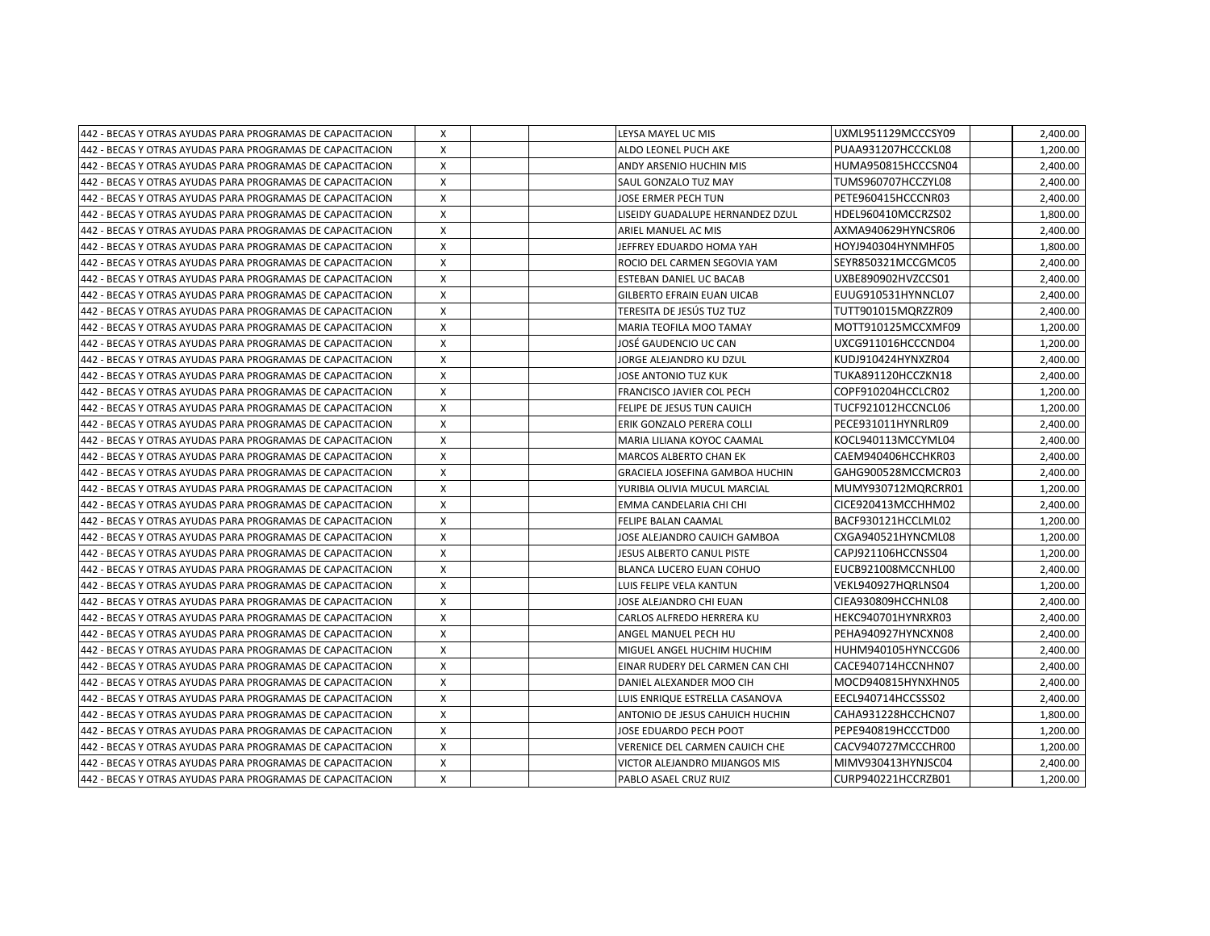| 442 - BECAS Y OTRAS AYUDAS PARA PROGRAMAS DE CAPACITACION | X        | LEYSA MAYEL UC MIS                | UXML951129MCCCSY09 | 2,400.00 |
|-----------------------------------------------------------|----------|-----------------------------------|--------------------|----------|
| 442 - BECAS Y OTRAS AYUDAS PARA PROGRAMAS DE CAPACITACION | X        | ALDO LEONEL PUCH AKE              | PUAA931207HCCCKL08 | 1,200.00 |
| 442 - BECAS Y OTRAS AYUDAS PARA PROGRAMAS DE CAPACITACION | X        | ANDY ARSENIO HUCHIN MIS           | HUMA950815HCCCSN04 | 2,400.00 |
| 442 - BECAS Y OTRAS AYUDAS PARA PROGRAMAS DE CAPACITACION | X        | SAUL GONZALO TUZ MAY              | TUMS960707HCCZYL08 | 2,400.00 |
| 442 - BECAS Y OTRAS AYUDAS PARA PROGRAMAS DE CAPACITACION | X        | JOSE ERMER PECH TUN               | PETE960415HCCCNR03 | 2,400.00 |
| 442 - BECAS Y OTRAS AYUDAS PARA PROGRAMAS DE CAPACITACION | X        | LISEIDY GUADALUPE HERNANDEZ DZUL  | HDEL960410MCCRZS02 | 1,800.00 |
| 442 - BECAS Y OTRAS AYUDAS PARA PROGRAMAS DE CAPACITACION | X        | ARIEL MANUEL AC MIS               | AXMA940629HYNCSR06 | 2,400.00 |
| 442 - BECAS Y OTRAS AYUDAS PARA PROGRAMAS DE CAPACITACION | X        | JEFFREY EDUARDO HOMA YAH          | HOYJ940304HYNMHF05 | 1,800.00 |
| 442 - BECAS Y OTRAS AYUDAS PARA PROGRAMAS DE CAPACITACION | X        | ROCIO DEL CARMEN SEGOVIA YAM      | SEYR850321MCCGMC05 | 2,400.00 |
| 442 - BECAS Y OTRAS AYUDAS PARA PROGRAMAS DE CAPACITACION | X        | ESTEBAN DANIEL UC BACAB           | UXBE890902HVZCCS01 | 2,400.00 |
| 442 - BECAS Y OTRAS AYUDAS PARA PROGRAMAS DE CAPACITACION | X        | <b>GILBERTO EFRAIN EUAN UICAB</b> | EUUG910531HYNNCL07 | 2,400.00 |
| 442 - BECAS Y OTRAS AYUDAS PARA PROGRAMAS DE CAPACITACION | X        | TERESITA DE JESÚS TUZ TUZ         | TUTT901015MQRZZR09 | 2,400.00 |
| 442 - BECAS Y OTRAS AYUDAS PARA PROGRAMAS DE CAPACITACION | X        | <b>MARIA TEOFILA MOO TAMAY</b>    | MOTT910125MCCXMF09 | 1,200.00 |
| 442 - BECAS Y OTRAS AYUDAS PARA PROGRAMAS DE CAPACITACION | X        | JOSÉ GAUDENCIO UC CAN             | UXCG911016HCCCND04 | 1,200.00 |
| 442 - BECAS Y OTRAS AYUDAS PARA PROGRAMAS DE CAPACITACION | $\times$ | JORGE ALEJANDRO KU DZUL           | KUDJ910424HYNXZR04 | 2,400.00 |
| 442 - BECAS Y OTRAS AYUDAS PARA PROGRAMAS DE CAPACITACION | X        | JOSE ANTONIO TUZ KUK              | TUKA891120HCCZKN18 | 2,400.00 |
| 442 - BECAS Y OTRAS AYUDAS PARA PROGRAMAS DE CAPACITACION | X        | FRANCISCO JAVIER COL PECH         | COPF910204HCCLCR02 | 1,200.00 |
| 442 - BECAS Y OTRAS AYUDAS PARA PROGRAMAS DE CAPACITACION | X        | FELIPE DE JESUS TUN CAUICH        | TUCF921012HCCNCL06 | 1,200.00 |
| 442 - BECAS Y OTRAS AYUDAS PARA PROGRAMAS DE CAPACITACION | X        | ERIK GONZALO PERERA COLLI         | PECE931011HYNRLR09 | 2,400.00 |
| 442 - BECAS Y OTRAS AYUDAS PARA PROGRAMAS DE CAPACITACION | X        | MARIA LILIANA KOYOC CAAMAL        | KOCL940113MCCYML04 | 2,400.00 |
| 442 - BECAS Y OTRAS AYUDAS PARA PROGRAMAS DE CAPACITACION | X        | MARCOS ALBERTO CHAN EK            | CAEM940406HCCHKR03 | 2,400.00 |
| 442 - BECAS Y OTRAS AYUDAS PARA PROGRAMAS DE CAPACITACION | X        | GRACIELA JOSEFINA GAMBOA HUCHIN   | GAHG900528MCCMCR03 | 2,400.00 |
| 442 - BECAS Y OTRAS AYUDAS PARA PROGRAMAS DE CAPACITACION | X        | YURIBIA OLIVIA MUCUL MARCIAL      | MUMY930712MQRCRR01 | 1,200.00 |
| 442 - BECAS Y OTRAS AYUDAS PARA PROGRAMAS DE CAPACITACION | $\times$ | EMMA CANDELARIA CHI CHI           | CICE920413MCCHHM02 | 2,400.00 |
| 442 - BECAS Y OTRAS AYUDAS PARA PROGRAMAS DE CAPACITACION | X        | <b>FELIPE BALAN CAAMAL</b>        | BACF930121HCCLML02 | 1,200.00 |
| 442 - BECAS Y OTRAS AYUDAS PARA PROGRAMAS DE CAPACITACION | X        | JOSE ALEJANDRO CAUICH GAMBOA      | CXGA940521HYNCML08 | 1,200.00 |
| 442 - BECAS Y OTRAS AYUDAS PARA PROGRAMAS DE CAPACITACION | X        | JESUS ALBERTO CANUL PISTE         | CAPJ921106HCCNSS04 | 1,200.00 |
| 442 - BECAS Y OTRAS AYUDAS PARA PROGRAMAS DE CAPACITACION | X        | <b>BLANCA LUCERO EUAN COHUO</b>   | EUCB921008MCCNHL00 | 2,400.00 |
| 442 - BECAS Y OTRAS AYUDAS PARA PROGRAMAS DE CAPACITACION | X        | LUIS FELIPE VELA KANTUN           | VEKL940927HQRLNS04 | 1,200.00 |
| 442 - BECAS Y OTRAS AYUDAS PARA PROGRAMAS DE CAPACITACION | X        | JOSE ALEJANDRO CHI EUAN           | CIEA930809HCCHNL08 | 2,400.00 |
| 442 - BECAS Y OTRAS AYUDAS PARA PROGRAMAS DE CAPACITACION | X        | CARLOS ALFREDO HERRERA KU         | HEKC940701HYNRXR03 | 2,400.00 |
| 442 - BECAS Y OTRAS AYUDAS PARA PROGRAMAS DE CAPACITACION | X        | ANGEL MANUEL PECH HU              | PEHA940927HYNCXN08 | 2,400.00 |
| 442 - BECAS Y OTRAS AYUDAS PARA PROGRAMAS DE CAPACITACION | X        | MIGUEL ANGEL HUCHIM HUCHIM        | HUHM940105HYNCCG06 | 2,400.00 |
| 442 - BECAS Y OTRAS AYUDAS PARA PROGRAMAS DE CAPACITACION | $\times$ | EINAR RUDERY DEL CARMEN CAN CHI   | CACE940714HCCNHN07 | 2,400.00 |
| 442 - BECAS Y OTRAS AYUDAS PARA PROGRAMAS DE CAPACITACION | X        | DANIEL ALEXANDER MOO CIH          | MOCD940815HYNXHN05 | 2,400.00 |
| 442 - BECAS Y OTRAS AYUDAS PARA PROGRAMAS DE CAPACITACION | X        | LUIS ENRIQUE ESTRELLA CASANOVA    | EECL940714HCCSSS02 | 2,400.00 |
| 442 - BECAS Y OTRAS AYUDAS PARA PROGRAMAS DE CAPACITACION | X        | ANTONIO DE JESUS CAHUICH HUCHIN   | CAHA931228HCCHCN07 | 1,800.00 |
| 442 - BECAS Y OTRAS AYUDAS PARA PROGRAMAS DE CAPACITACION | X        | JOSE EDUARDO PECH POOT            | PEPE940819HCCCTD00 | 1,200.00 |
| 442 - BECAS Y OTRAS AYUDAS PARA PROGRAMAS DE CAPACITACION | X        | VERENICE DEL CARMEN CAUICH CHE    | CACV940727MCCCHR00 | 1,200.00 |
| 442 - BECAS Y OTRAS AYUDAS PARA PROGRAMAS DE CAPACITACION | X        | VICTOR ALEJANDRO MIJANGOS MIS     | MIMV930413HYNJSC04 | 2,400.00 |
| 442 - BECAS Y OTRAS AYUDAS PARA PROGRAMAS DE CAPACITACION | X        | PABLO ASAEL CRUZ RUIZ             | CURP940221HCCRZB01 | 1,200.00 |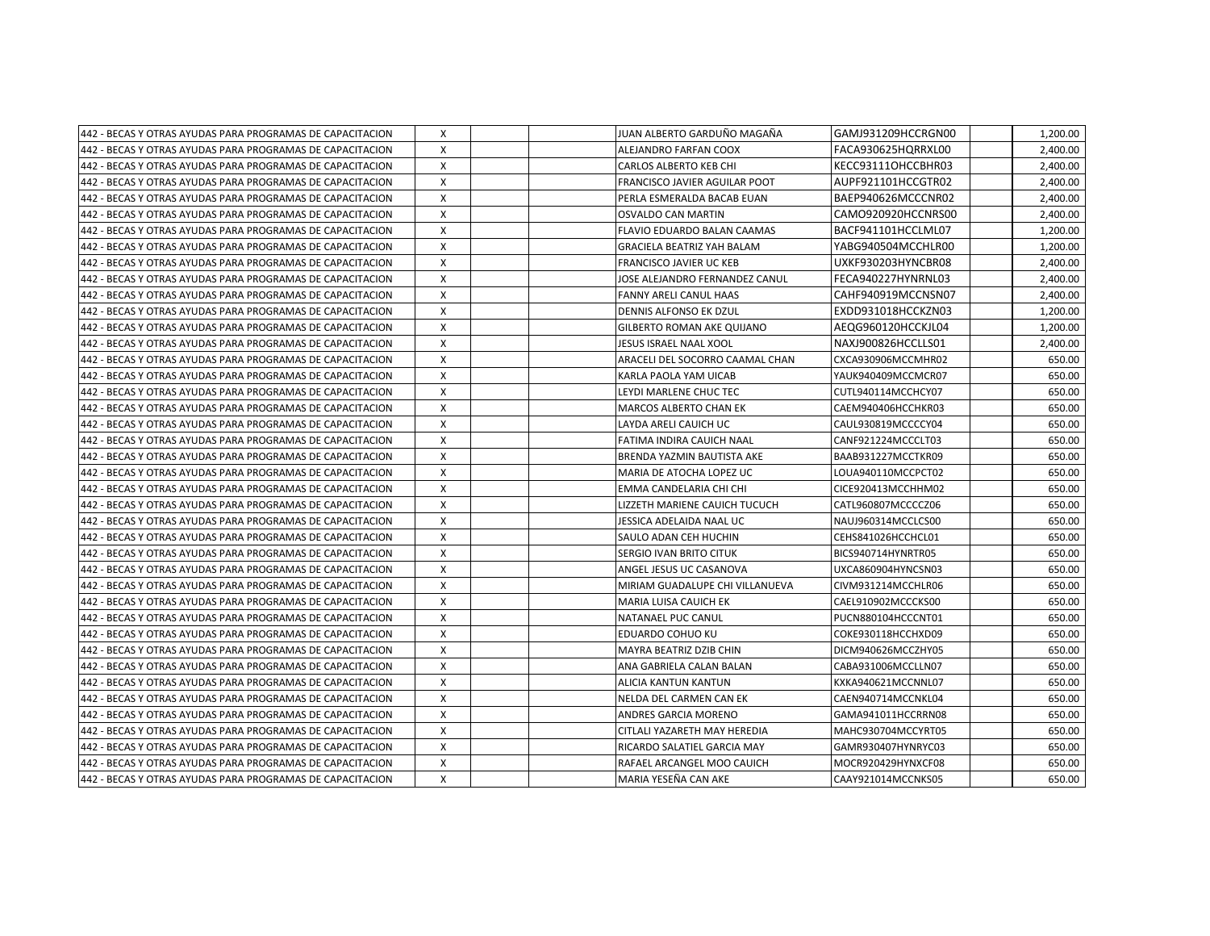| 442 - BECAS Y OTRAS AYUDAS PARA PROGRAMAS DE CAPACITACION  | X            |  | JUAN ALBERTO GARDUÑO MAGAÑA          | GAMJ931209HCCRGN00 | 1,200.00 |
|------------------------------------------------------------|--------------|--|--------------------------------------|--------------------|----------|
| 442 - BECAS Y OTRAS AYUDAS PARA PROGRAMAS DE CAPACITACION  | X            |  | ALEJANDRO FARFAN COOX                | FACA930625HQRRXL00 | 2,400.00 |
| 442 - BECAS Y OTRAS AYUDAS PARA PROGRAMAS DE CAPACITACION  | X            |  | <b>CARLOS ALBERTO KEB CHI</b>        | KECC93111OHCCBHR03 | 2.400.00 |
| 442 - BECAS Y OTRAS AYUDAS PARA PROGRAMAS DE CAPACITACION  | X            |  | <b>FRANCISCO JAVIER AGUILAR POOT</b> | AUPF921101HCCGTR02 | 2,400.00 |
| 442 - BECAS Y OTRAS AYUDAS PARA PROGRAMAS DE CAPACITACION  | X            |  | PERLA ESMERALDA BACAB EUAN           | BAEP940626MCCCNR02 | 2,400.00 |
| 442 - BECAS Y OTRAS AYUDAS PARA PROGRAMAS DE CAPACITACION  | X            |  | <b>OSVALDO CAN MARTIN</b>            | CAMO920920HCCNRS00 | 2,400.00 |
| 442 - BECAS Y OTRAS AYUDAS PARA PROGRAMAS DE CAPACITACION  | x            |  | FLAVIO EDUARDO BALAN CAAMAS          | BACF941101HCCLML07 | 1,200.00 |
| 442 - BECAS Y OTRAS AYUDAS PARA PROGRAMAS DE CAPACITACION  | X            |  | <b>GRACIELA BEATRIZ YAH BALAM</b>    | YABG940504MCCHLR00 | 1,200.00 |
| 442 - BECAS Y OTRAS AYUDAS PARA PROGRAMAS DE CAPACITACION  | X            |  | <b>FRANCISCO JAVIER UC KEB</b>       | UXKF930203HYNCBR08 | 2,400.00 |
| 442 - BECAS Y OTRAS AYUDAS PARA PROGRAMAS DE CAPACITACION  | x            |  | JOSE ALEJANDRO FERNANDEZ CANUL       | FECA940227HYNRNL03 | 2,400.00 |
| 442 - BECAS Y OTRAS AYUDAS PARA PROGRAMAS DE CAPACITACION  | X            |  | <b>FANNY ARELI CANUL HAAS</b>        | CAHF940919MCCNSN07 | 2,400.00 |
| 442 - BECAS Y OTRAS AYUDAS PARA PROGRAMAS DE CAPACITACION  | $\mathsf{x}$ |  | DENNIS ALFONSO EK DZUL               | EXDD931018HCCKZN03 | 1,200.00 |
| 442 - BECAS Y OTRAS AYUDAS PARA PROGRAMAS DE CAPACITACION  | X            |  | <b>GILBERTO ROMAN AKE QUIJANO</b>    | AEQG960120HCCKJL04 | 1,200.00 |
| 442 - BECAS Y OTRAS AYUDAS PARA PROGRAMAS DE CAPACITACION  | X            |  | JESUS ISRAEL NAAL XOOL               | NAXJ900826HCCLLS01 | 2,400.00 |
| 442 - BECAS Y OTRAS AYUDAS PARA PROGRAMAS DE CAPACITACION  | X            |  | ARACELI DEL SOCORRO CAAMAL CHAN      | CXCA930906MCCMHR02 | 650.00   |
| 442 - BECAS Y OTRAS AYUDAS PARA PROGRAMAS DE CAPACITACION  | X            |  | KARLA PAOLA YAM UICAB                | YAUK940409MCCMCR07 | 650.00   |
| 442 - BECAS Y OTRAS AYUDAS PARA PROGRAMAS DE CAPACITACION  | X            |  | LEYDI MARLENE CHUC TEC               | CUTL940114MCCHCY07 | 650.00   |
| 442 - BECAS Y OTRAS AYUDAS PARA PROGRAMAS DE CAPACITACION  | X            |  | <b>MARCOS ALBERTO CHAN EK</b>        | CAEM940406HCCHKR03 | 650.00   |
| 442 - BECAS Y OTRAS AYUDAS PARA PROGRAMAS DE CAPACITACION  | X            |  | LAYDA ARELI CAUICH UC                | CAUL930819MCCCCY04 | 650.00   |
| 442 - BECAS Y OTRAS AYUDAS PARA PROGRAMAS DE CAPACITACION  | Χ            |  | FATIMA INDIRA CAUICH NAAL            | CANF921224MCCCLT03 | 650.00   |
| 442 - BECAS Y OTRAS AYUDAS PARA PROGRAMAS DE CAPACITACION  | X            |  | BRENDA YAZMIN BAUTISTA AKE           | BAAB931227MCCTKR09 | 650.00   |
| 442 - BECAS Y OTRAS AYUDAS PARA PROGRAMAS DE CAPACITACION  | $\times$     |  | MARIA DE ATOCHA LOPEZ UC             | LOUA940110MCCPCT02 | 650.00   |
| 442 - BECAS Y OTRAS AYUDAS PARA PROGRAMAS DE CAPACITACION  | x            |  | EMMA CANDELARIA CHI CHI              | CICE920413MCCHHM02 | 650.00   |
| 442 - BECAS Y OTRAS AYUDAS PARA PROGRAMAS DE CAPACITACION  | Χ            |  | LIZZETH MARIENE CAUICH TUCUCH        | CATL960807MCCCCZ06 | 650.00   |
| 442 - BECAS Y OTRAS AYUDAS PARA PROGRAMAS DE CAPACITACION  | $\mathsf{x}$ |  | JESSICA ADELAIDA NAAL UC             | NAUJ960314MCCLCS00 | 650.00   |
| 442 - BECAS Y OTRAS AYUDAS PARA PROGRAMAS DE CAPACITACION  | X            |  | SAULO ADAN CEH HUCHIN                | CEHS841026HCCHCL01 | 650.00   |
| 442 - BECAS Y OTRAS AYUDAS PARA PROGRAMAS DE CAPACITACION  | X            |  | SERGIO IVAN BRITO CITUK              | BICS940714HYNRTR05 | 650.00   |
| 442 - BECAS Y OTRAS AYUDAS PARA PROGRAMAS DE CAPACITACION  | X            |  | ANGEL JESUS UC CASANOVA              | UXCA860904HYNCSN03 | 650.00   |
| 442 - BECAS Y OTRAS AYUDAS PARA PROGRAMAS DE CAPACITACION  | X            |  | MIRIAM GUADALUPE CHI VILLANUEVA      | CIVM931214MCCHLR06 | 650.00   |
| 442 - BECAS Y OTRAS AYUDAS PARA PROGRAMAS DE CAPACITACION  | Χ            |  | <b>MARIA LUISA CAUICH EK</b>         | CAEL910902MCCCKS00 | 650.00   |
| 1442 - BECAS Y OTRAS AYUDAS PARA PROGRAMAS DE CAPACITACION | $\mathsf{x}$ |  | NATANAEL PUC CANUL                   | PUCN880104HCCCNT01 | 650.00   |
| 1442 - BECAS Y OTRAS AYUDAS PARA PROGRAMAS DE CAPACITACION | X            |  | <b>EDUARDO COHUO KU</b>              | COKE930118HCCHXD09 | 650.00   |
| 1442 - BECAS Y OTRAS AYUDAS PARA PROGRAMAS DE CAPACITACION | X            |  | MAYRA BEATRIZ DZIB CHIN              | DICM940626MCCZHY05 | 650.00   |
| 442 - BECAS Y OTRAS AYUDAS PARA PROGRAMAS DE CAPACITACION  | Χ            |  | ANA GABRIELA CALAN BALAN             | CABA931006MCCLLN07 | 650.00   |
| 442 - BECAS Y OTRAS AYUDAS PARA PROGRAMAS DE CAPACITACION  | X            |  | ALICIA KANTUN KANTUN                 | KXKA940621MCCNNL07 | 650.00   |
| 442 - BECAS Y OTRAS AYUDAS PARA PROGRAMAS DE CAPACITACION  | Χ            |  | NELDA DEL CARMEN CAN EK              | CAEN940714MCCNKL04 | 650.00   |
| 442 - BECAS Y OTRAS AYUDAS PARA PROGRAMAS DE CAPACITACION  | Χ            |  | <b>ANDRES GARCIA MORENO</b>          | GAMA941011HCCRRN08 | 650.00   |
| 442 - BECAS Y OTRAS AYUDAS PARA PROGRAMAS DE CAPACITACION  | X            |  | CITLALI YAZARETH MAY HEREDIA         | MAHC930704MCCYRT05 | 650.00   |
| 442 - BECAS Y OTRAS AYUDAS PARA PROGRAMAS DE CAPACITACION  | x            |  | RICARDO SALATIEL GARCIA MAY          | GAMR930407HYNRYC03 | 650.00   |
| 442 - BECAS Y OTRAS AYUDAS PARA PROGRAMAS DE CAPACITACION  | X            |  | RAFAEL ARCANGEL MOO CAUICH           | MOCR920429HYNXCF08 | 650.00   |
| 442 - BECAS Y OTRAS AYUDAS PARA PROGRAMAS DE CAPACITACION  | X            |  | MARIA YESEÑA CAN AKE                 | CAAY921014MCCNKS05 | 650.00   |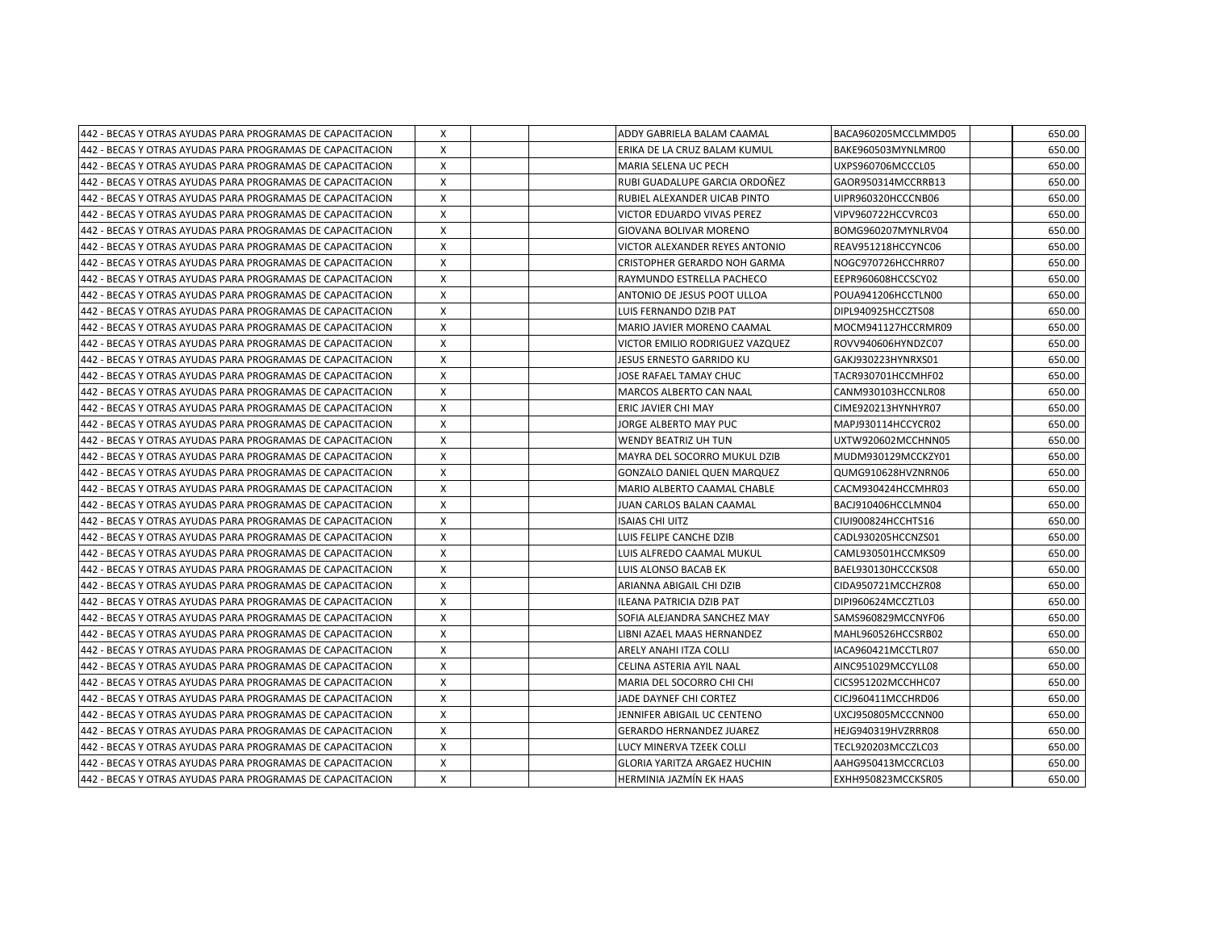| 442 - BECAS Y OTRAS AYUDAS PARA PROGRAMAS DE CAPACITACION | X        |  | ADDY GABRIELA BALAM CAAMAL          | BACA960205MCCLMMD05 | 650.00 |
|-----------------------------------------------------------|----------|--|-------------------------------------|---------------------|--------|
| 442 - BECAS Y OTRAS AYUDAS PARA PROGRAMAS DE CAPACITACION | X        |  | ERIKA DE LA CRUZ BALAM KUMUL        | BAKE960503MYNLMR00  | 650.00 |
| 442 - BECAS Y OTRAS AYUDAS PARA PROGRAMAS DE CAPACITACION | X        |  | IMARIA SELENA UC PECH               | UXPS960706MCCCL05   | 650.00 |
| 442 - BECAS Y OTRAS AYUDAS PARA PROGRAMAS DE CAPACITACION | X        |  | RUBI GUADALUPE GARCIA ORDOÑEZ       | GAOR950314MCCRRB13  | 650.00 |
| 442 - BECAS Y OTRAS AYUDAS PARA PROGRAMAS DE CAPACITACION | X        |  | RUBIEL ALEXANDER UICAB PINTO        | UIPR960320HCCCNB06  | 650.00 |
| 442 - BECAS Y OTRAS AYUDAS PARA PROGRAMAS DE CAPACITACION | X        |  | VICTOR EDUARDO VIVAS PEREZ          | VIPV960722HCCVRC03  | 650.00 |
| 442 - BECAS Y OTRAS AYUDAS PARA PROGRAMAS DE CAPACITACION | X        |  | GIOVANA BOLIVAR MORENO              | BOMG960207MYNLRV04  | 650.00 |
| 442 - BECAS Y OTRAS AYUDAS PARA PROGRAMAS DE CAPACITACION | X        |  | VICTOR ALEXANDER REYES ANTONIO      | REAV951218HCCYNC06  | 650.00 |
| 442 - BECAS Y OTRAS AYUDAS PARA PROGRAMAS DE CAPACITACION | $\times$ |  | CRISTOPHER GERARDO NOH GARMA        | NOGC970726HCCHRR07  | 650.00 |
| 442 - BECAS Y OTRAS AYUDAS PARA PROGRAMAS DE CAPACITACION | X        |  | RAYMUNDO ESTRELLA PACHECO           | EEPR960608HCCSCY02  | 650.00 |
| 442 - BECAS Y OTRAS AYUDAS PARA PROGRAMAS DE CAPACITACION | X        |  | ANTONIO DE JESUS POOT ULLOA         | POUA941206HCCTLN00  | 650.00 |
| 442 - BECAS Y OTRAS AYUDAS PARA PROGRAMAS DE CAPACITACION | X        |  | LUIS FERNANDO DZIB PAT              | DIPL940925HCCZTS08  | 650.00 |
| 442 - BECAS Y OTRAS AYUDAS PARA PROGRAMAS DE CAPACITACION | X        |  | MARIO JAVIER MORENO CAAMAL          | MOCM941127HCCRMR09  | 650.00 |
| 442 - BECAS Y OTRAS AYUDAS PARA PROGRAMAS DE CAPACITACION | X        |  | VICTOR EMILIO RODRIGUEZ VAZQUEZ     | ROVV940606HYNDZC07  | 650.00 |
| 442 - BECAS Y OTRAS AYUDAS PARA PROGRAMAS DE CAPACITACION | X        |  | JESUS ERNESTO GARRIDO KU            | GAKJ930223HYNRXS01  | 650.00 |
| 442 - BECAS Y OTRAS AYUDAS PARA PROGRAMAS DE CAPACITACION | X        |  | JOSE RAFAEL TAMAY CHUC              | TACR930701HCCMHF02  | 650.00 |
| 442 - BECAS Y OTRAS AYUDAS PARA PROGRAMAS DE CAPACITACION | X        |  | <b>MARCOS ALBERTO CAN NAAL</b>      | CANM930103HCCNLR08  | 650.00 |
| 442 - BECAS Y OTRAS AYUDAS PARA PROGRAMAS DE CAPACITACION | $\times$ |  | ERIC JAVIER CHI MAY                 | CIME920213HYNHYR07  | 650.00 |
| 442 - BECAS Y OTRAS AYUDAS PARA PROGRAMAS DE CAPACITACION | X        |  | JORGE ALBERTO MAY PUC               | MAPJ930114HCCYCR02  | 650.00 |
| 442 - BECAS Y OTRAS AYUDAS PARA PROGRAMAS DE CAPACITACION | $\times$ |  | IWENDY BEATRIZ UH TUN               | UXTW920602MCCHNN05  | 650.00 |
| 442 - BECAS Y OTRAS AYUDAS PARA PROGRAMAS DE CAPACITACION | X        |  | MAYRA DEL SOCORRO MUKUL DZIB        | MUDM930129MCCKZY01  | 650.00 |
| 442 - BECAS Y OTRAS AYUDAS PARA PROGRAMAS DE CAPACITACION | $\times$ |  | <b>GONZALO DANIEL QUEN MARQUEZ</b>  | QUMG910628HVZNRN06  | 650.00 |
| 442 - BECAS Y OTRAS AYUDAS PARA PROGRAMAS DE CAPACITACION | X        |  | MARIO ALBERTO CAAMAL CHABLE         | CACM930424HCCMHR03  | 650.00 |
| 442 - BECAS Y OTRAS AYUDAS PARA PROGRAMAS DE CAPACITACION | Χ        |  | JUAN CARLOS BALAN CAAMAL            | BACJ910406HCCLMN04  | 650.00 |
| 442 - BECAS Y OTRAS AYUDAS PARA PROGRAMAS DE CAPACITACION | X        |  | <b>ISAIAS CHI UITZ</b>              | CIUI900824HCCHTS16  | 650.00 |
| 442 - BECAS Y OTRAS AYUDAS PARA PROGRAMAS DE CAPACITACION | X        |  | LUIS FELIPE CANCHE DZIB             | CADL930205HCCNZS01  | 650.00 |
| 442 - BECAS Y OTRAS AYUDAS PARA PROGRAMAS DE CAPACITACION | X        |  | LUIS ALFREDO CAAMAL MUKUL           | CAML930501HCCMKS09  | 650.00 |
| 442 - BECAS Y OTRAS AYUDAS PARA PROGRAMAS DE CAPACITACION | Χ        |  | LUIS ALONSO BACAB EK                | BAEL930130HCCCKS08  | 650.00 |
| 442 - BECAS Y OTRAS AYUDAS PARA PROGRAMAS DE CAPACITACION | Χ        |  | ARIANNA ABIGAIL CHI DZIB            | CIDA950721MCCHZR08  | 650.00 |
| 442 - BECAS Y OTRAS AYUDAS PARA PROGRAMAS DE CAPACITACION | X        |  | ILEANA PATRICIA DZIB PAT            | DIPI960624MCCZTL03  | 650.00 |
| 442 - BECAS Y OTRAS AYUDAS PARA PROGRAMAS DE CAPACITACION | X        |  | ISOFIA ALEJANDRA SANCHEZ MAY        | SAMS960829MCCNYF06  | 650.00 |
| 442 - BECAS Y OTRAS AYUDAS PARA PROGRAMAS DE CAPACITACION | X        |  | LIBNI AZAEL MAAS HERNANDEZ          | MAHL960526HCCSRB02  | 650.00 |
| 442 - BECAS Y OTRAS AYUDAS PARA PROGRAMAS DE CAPACITACION | X        |  | ARELY ANAHI ITZA COLLI              | IACA960421MCCTLR07  | 650.00 |
| 442 - BECAS Y OTRAS AYUDAS PARA PROGRAMAS DE CAPACITACION | X        |  | CELINA ASTERIA AYIL NAAL            | AINC951029MCCYLL08  | 650.00 |
| 442 - BECAS Y OTRAS AYUDAS PARA PROGRAMAS DE CAPACITACION | X        |  | MARIA DEL SOCORRO CHI CHI           | CICS951202MCCHHC07  | 650.00 |
| 442 - BECAS Y OTRAS AYUDAS PARA PROGRAMAS DE CAPACITACION | Χ        |  | JADE DAYNEF CHI CORTEZ              | CICJ960411MCCHRD06  | 650.00 |
| 442 - BECAS Y OTRAS AYUDAS PARA PROGRAMAS DE CAPACITACION | X        |  | JENNIFER ABIGAIL UC CENTENO         | UXCJ950805MCCCNN00  | 650.00 |
| 442 - BECAS Y OTRAS AYUDAS PARA PROGRAMAS DE CAPACITACION | X        |  | <b>GERARDO HERNANDEZ JUAREZ</b>     | HEJG940319HVZRRR08  | 650.00 |
| 442 - BECAS Y OTRAS AYUDAS PARA PROGRAMAS DE CAPACITACION | X        |  | LUCY MINERVA TZEEK COLLI            | TECL920203MCCZLC03  | 650.00 |
| 442 - BECAS Y OTRAS AYUDAS PARA PROGRAMAS DE CAPACITACION | X        |  | <b>GLORIA YARITZA ARGAEZ HUCHIN</b> | AAHG950413MCCRCL03  | 650.00 |
| 442 - BECAS Y OTRAS AYUDAS PARA PROGRAMAS DE CAPACITACION | X        |  | HERMINIA JAZMÍN EK HAAS             | EXHH950823MCCKSR05  | 650.00 |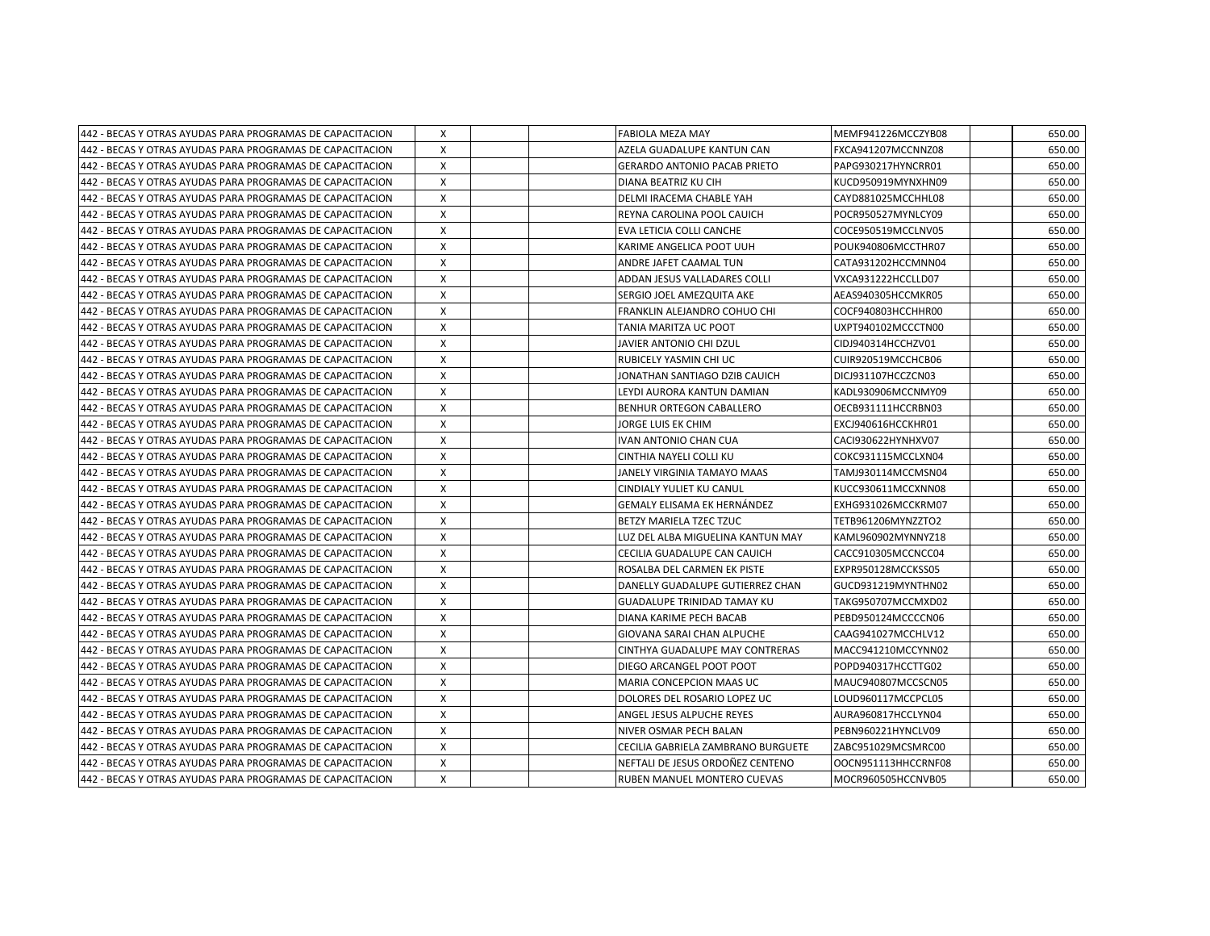| 442 - BECAS Y OTRAS AYUDAS PARA PROGRAMAS DE CAPACITACION  | х            | <b>FABIOLA MEZA MAY</b>             | MEMF941226MCCZYB08  | 650.00 |
|------------------------------------------------------------|--------------|-------------------------------------|---------------------|--------|
| 1442 - BECAS Y OTRAS AYUDAS PARA PROGRAMAS DE CAPACITACION | $\mathsf{x}$ | AZELA GUADALUPE KANTUN CAN          | FXCA941207MCCNNZ08  | 650.00 |
| 1442 - BECAS Y OTRAS AYUDAS PARA PROGRAMAS DE CAPACITACION | $\times$     | <b>GERARDO ANTONIO PACAB PRIETO</b> | PAPG930217HYNCRR01  | 650.00 |
| 442 - BECAS Y OTRAS AYUDAS PARA PROGRAMAS DE CAPACITACION  | x            | DIANA BEATRIZ KU CIH                | KUCD950919MYNXHN09  | 650.00 |
| 442 - BECAS Y OTRAS AYUDAS PARA PROGRAMAS DE CAPACITACION  | X            | DELMI IRACEMA CHABLE YAH            | CAYD881025MCCHHL08  | 650.00 |
| 442 - BECAS Y OTRAS AYUDAS PARA PROGRAMAS DE CAPACITACION  | X            | REYNA CAROLINA POOL CAUICH          | POCR950527MYNLCY09  | 650.00 |
| 442 - BECAS Y OTRAS AYUDAS PARA PROGRAMAS DE CAPACITACION  | X            | EVA LETICIA COLLI CANCHE            | COCE950519MCCLNV05  | 650.00 |
| 442 - BECAS Y OTRAS AYUDAS PARA PROGRAMAS DE CAPACITACION  | X            | KARIME ANGELICA POOT UUH            | POUK940806MCCTHR07  | 650.00 |
| 442 - BECAS Y OTRAS AYUDAS PARA PROGRAMAS DE CAPACITACION  | X            | ANDRE JAFET CAAMAL TUN              | CATA931202HCCMNN04  | 650.00 |
| 442 - BECAS Y OTRAS AYUDAS PARA PROGRAMAS DE CAPACITACION  | X            | ADDAN JESUS VALLADARES COLLI        | VXCA931222HCCLLD07  | 650.00 |
| 442 - BECAS Y OTRAS AYUDAS PARA PROGRAMAS DE CAPACITACION  | X            | SERGIO JOEL AMEZQUITA AKE           | AEAS940305HCCMKR05  | 650.00 |
| 1442 - BECAS Y OTRAS AYUDAS PARA PROGRAMAS DE CAPACITACION | X            | FRANKLIN ALEJANDRO COHUO CHI        | COCF940803HCCHHR00  | 650.00 |
| 1442 - BECAS Y OTRAS AYUDAS PARA PROGRAMAS DE CAPACITACION | X            | TANIA MARITZA UC POOT               | UXPT940102MCCCTN00  | 650.00 |
| 442 - BECAS Y OTRAS AYUDAS PARA PROGRAMAS DE CAPACITACION  | $\mathsf{x}$ | JAVIER ANTONIO CHI DZUL             | CIDJ940314HCCHZV01  | 650.00 |
| 442 - BECAS Y OTRAS AYUDAS PARA PROGRAMAS DE CAPACITACION  | $\times$     | RUBICELY YASMIN CHI UC              | CUIR920519MCCHCB06  | 650.00 |
| 442 - BECAS Y OTRAS AYUDAS PARA PROGRAMAS DE CAPACITACION  | x            | JONATHAN SANTIAGO DZIB CAUICH       | DICJ931107HCCZCN03  | 650.00 |
| 442 - BECAS Y OTRAS AYUDAS PARA PROGRAMAS DE CAPACITACION  | X            | LEYDI AURORA KANTUN DAMIAN          | KADL930906MCCNMY09  | 650.00 |
| 442 - BECAS Y OTRAS AYUDAS PARA PROGRAMAS DE CAPACITACION  | X            | <b>BENHUR ORTEGON CABALLERO</b>     | OECB931111HCCRBN03  | 650.00 |
| 442 - BECAS Y OTRAS AYUDAS PARA PROGRAMAS DE CAPACITACION  | X            | JORGE LUIS EK CHIM                  | EXCJ940616HCCKHR01  | 650.00 |
| 442 - BECAS Y OTRAS AYUDAS PARA PROGRAMAS DE CAPACITACION  | X            | IVAN ANTONIO CHAN CUA               | CACI930622HYNHXV07  | 650.00 |
| 442 - BECAS Y OTRAS AYUDAS PARA PROGRAMAS DE CAPACITACION  | X            | CINTHIA NAYELI COLLI KU             | COKC931115MCCLXN04  | 650.00 |
| 442 - BECAS Y OTRAS AYUDAS PARA PROGRAMAS DE CAPACITACION  | Χ            | JANELY VIRGINIA TAMAYO MAAS         | TAMJ930114MCCMSN04  | 650.00 |
| 442 - BECAS Y OTRAS AYUDAS PARA PROGRAMAS DE CAPACITACION  | X            | <b>CINDIALY YULIET KU CANUL</b>     | KUCC930611MCCXNN08  | 650.00 |
| 442 - BECAS Y OTRAS AYUDAS PARA PROGRAMAS DE CAPACITACION  | $\mathsf{x}$ | GEMALY ELISAMA EK HERNÁNDEZ         | EXHG931026MCCKRM07  | 650.00 |
| 442 - BECAS Y OTRAS AYUDAS PARA PROGRAMAS DE CAPACITACION  | X            | BETZY MARIELA TZEC TZUC             | TETB961206MYNZZTO2  | 650.00 |
| 442 - BECAS Y OTRAS AYUDAS PARA PROGRAMAS DE CAPACITACION  | X            | LUZ DEL ALBA MIGUELINA KANTUN MAY   | KAML960902MYNNYZ18  | 650.00 |
| 1442 - BECAS Y OTRAS AYUDAS PARA PROGRAMAS DE CAPACITACION | $\mathsf{x}$ | CECILIA GUADALUPE CAN CAUICH        | CACC910305MCCNCC04  | 650.00 |
| 1442 - BECAS Y OTRAS AYUDAS PARA PROGRAMAS DE CAPACITACION | X            | ROSALBA DEL CARMEN EK PISTE         | EXPR950128MCCKSS05  | 650.00 |
| 442 - BECAS Y OTRAS AYUDAS PARA PROGRAMAS DE CAPACITACION  | Χ            | DANELLY GUADALUPE GUTIERREZ CHAN    | GUCD931219MYNTHN02  | 650.00 |
| 442 - BECAS Y OTRAS AYUDAS PARA PROGRAMAS DE CAPACITACION  | X            | GUADALUPE TRINIDAD TAMAY KU         | TAKG950707MCCMXD02  | 650.00 |
| 442 - BECAS Y OTRAS AYUDAS PARA PROGRAMAS DE CAPACITACION  | X            | DIANA KARIME PECH BACAB             | PEBD950124MCCCCN06  | 650.00 |
| 442 - BECAS Y OTRAS AYUDAS PARA PROGRAMAS DE CAPACITACION  | X            | GIOVANA SARAI CHAN ALPUCHE          | CAAG941027MCCHLV12  | 650.00 |
| 442 - BECAS Y OTRAS AYUDAS PARA PROGRAMAS DE CAPACITACION  | X            | CINTHYA GUADALUPE MAY CONTRERAS     | MACC941210MCCYNN02  | 650.00 |
| 442 - BECAS Y OTRAS AYUDAS PARA PROGRAMAS DE CAPACITACION  | X            | DIEGO ARCANGEL POOT POOT            | POPD940317HCCTTG02  | 650.00 |
| 442 - BECAS Y OTRAS AYUDAS PARA PROGRAMAS DE CAPACITACION  | x            | MARIA CONCEPCION MAAS UC            | MAUC940807MCCSCN05  | 650.00 |
| 442 - BECAS Y OTRAS AYUDAS PARA PROGRAMAS DE CAPACITACION  | $\mathsf{x}$ | DOLORES DEL ROSARIO LOPEZ UC        | LOUD960117MCCPCL05  | 650.00 |
| 442 - BECAS Y OTRAS AYUDAS PARA PROGRAMAS DE CAPACITACION  | $\mathsf{x}$ | ANGEL JESUS ALPUCHE REYES           | AURA960817HCCLYN04  | 650.00 |
| 1442 - BECAS Y OTRAS AYUDAS PARA PROGRAMAS DE CAPACITACION | X            | NIVER OSMAR PECH BALAN              | PEBN960221HYNCLV09  | 650.00 |
| 442 - BECAS Y OTRAS AYUDAS PARA PROGRAMAS DE CAPACITACION  | X            | CECILIA GABRIELA ZAMBRANO BURGUETE  | ZABC951029MCSMRC00  | 650.00 |
| 442 - BECAS Y OTRAS AYUDAS PARA PROGRAMAS DE CAPACITACION  | X            | NEFTALI DE JESUS ORDOÑEZ CENTENO    | OOCN951113HHCCRNF08 | 650.00 |
| 442 - BECAS Y OTRAS AYUDAS PARA PROGRAMAS DE CAPACITACION  | X            | RUBEN MANUEL MONTERO CUEVAS         | MOCR960505HCCNVB05  | 650.00 |